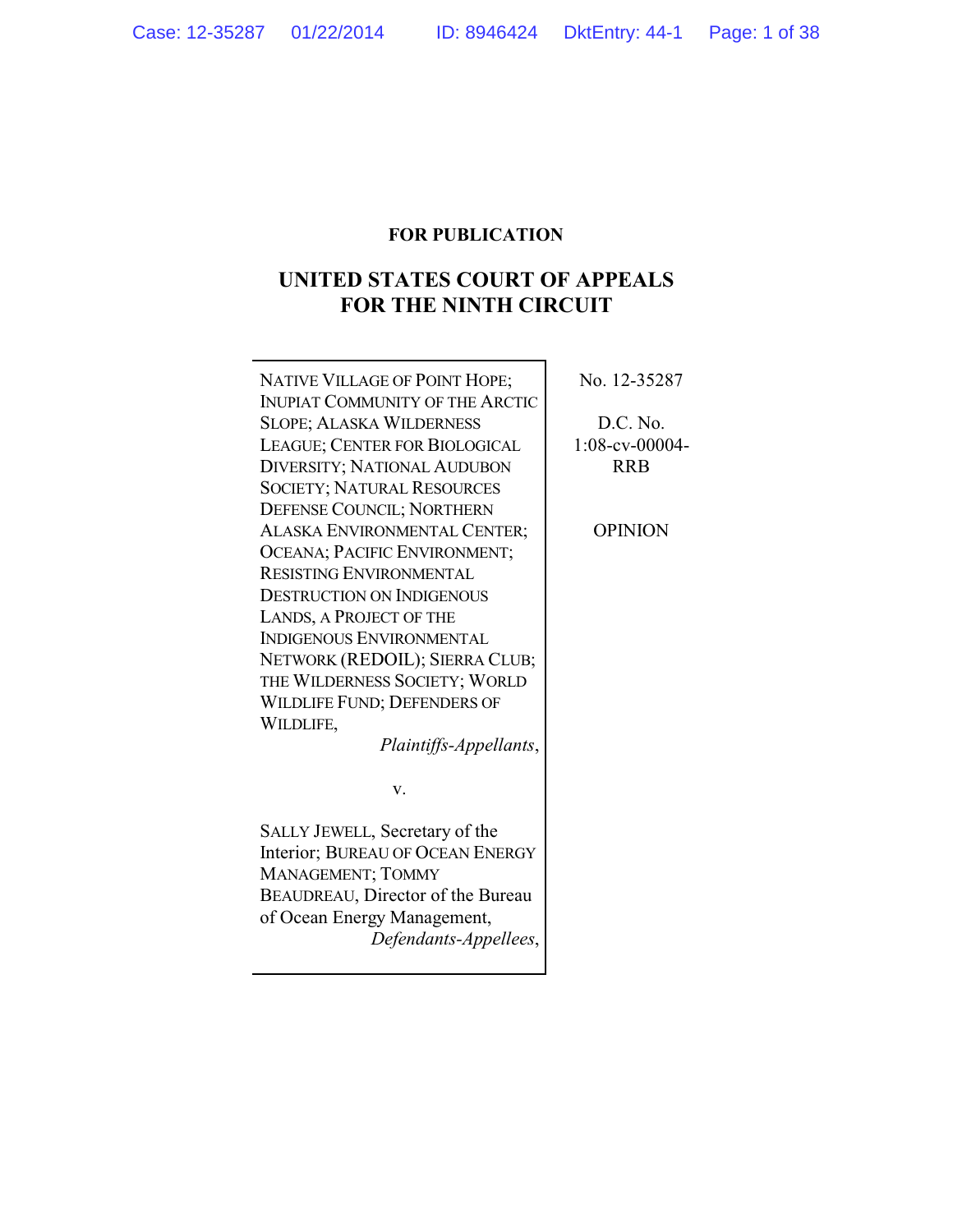# **FOR PUBLICATION**

# **UNITED STATES COURT OF APPEALS FOR THE NINTH CIRCUIT**

| NATIVE VILLAGE OF POINT HOPE;          | No. 12-35287   |
|----------------------------------------|----------------|
| <b>INUPIAT COMMUNITY OF THE ARCTIC</b> |                |
| <b>SLOPE; ALASKA WILDERNESS</b>        | D.C. No.       |
| LEAGUE; CENTER FOR BIOLOGICAL          | 1:08-cv-00004- |
| <b>DIVERSITY; NATIONAL AUDUBON</b>     | <b>RRB</b>     |
| <b>SOCIETY; NATURAL RESOURCES</b>      |                |
| DEFENSE COUNCIL; NORTHERN              |                |
| ALASKA ENVIRONMENTAL CENTER;           | <b>OPINION</b> |
| OCEANA; PACIFIC ENVIRONMENT;           |                |
| <b>RESISTING ENVIRONMENTAL</b>         |                |
| <b>DESTRUCTION ON INDIGENOUS</b>       |                |
| LANDS, A PROJECT OF THE                |                |
| <b>INDIGENOUS ENVIRONMENTAL</b>        |                |
| NETWORK (REDOIL); SIERRA CLUB;         |                |
| THE WILDERNESS SOCIETY; WORLD          |                |
| <b>WILDLIFE FUND; DEFENDERS OF</b>     |                |
| WILDLIFE,                              |                |
| Plaintiffs-Appellants,                 |                |
| v.                                     |                |
| SALLY JEWELL, Secretary of the         |                |
| Interior; BUREAU OF OCEAN ENERGY       |                |
| MANAGEMENT; TOMMY                      |                |
| BEAUDREAU, Director of the Bureau      |                |
| of Ocean Energy Management,            |                |
| Defendants-Appellees,                  |                |
|                                        |                |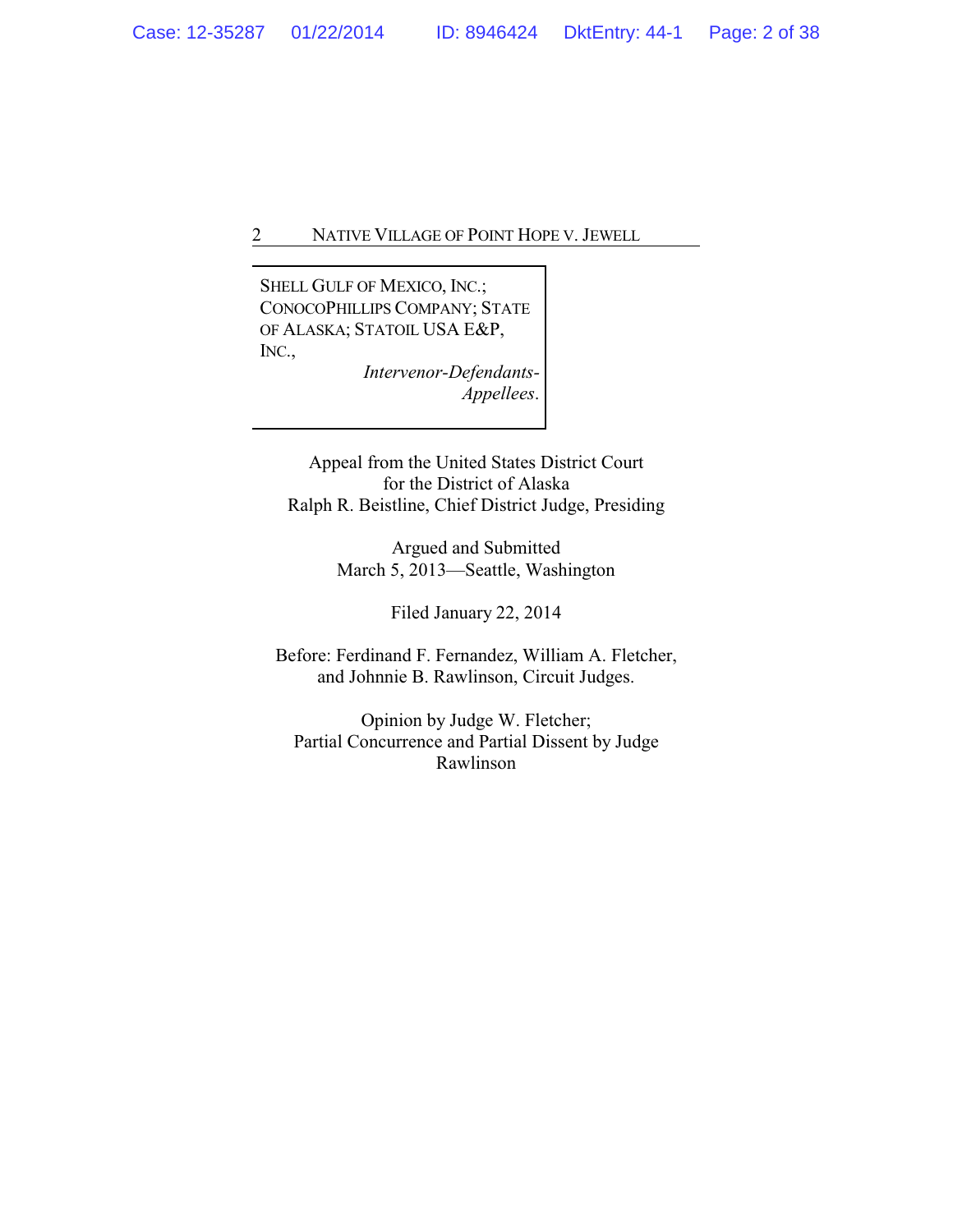SHELL GULF OF MEXICO, INC.; CONOCOPHILLIPS COMPANY; STATE OF ALASKA; STATOIL USA E&P, INC.,

> *Intervenor-Defendants-Appellees*.

Appeal from the United States District Court for the District of Alaska Ralph R. Beistline, Chief District Judge, Presiding

> Argued and Submitted March 5, 2013—Seattle, Washington

> > Filed January 22, 2014

Before: Ferdinand F. Fernandez, William A. Fletcher, and Johnnie B. Rawlinson, Circuit Judges.

Opinion by Judge W. Fletcher; Partial Concurrence and Partial Dissent by Judge Rawlinson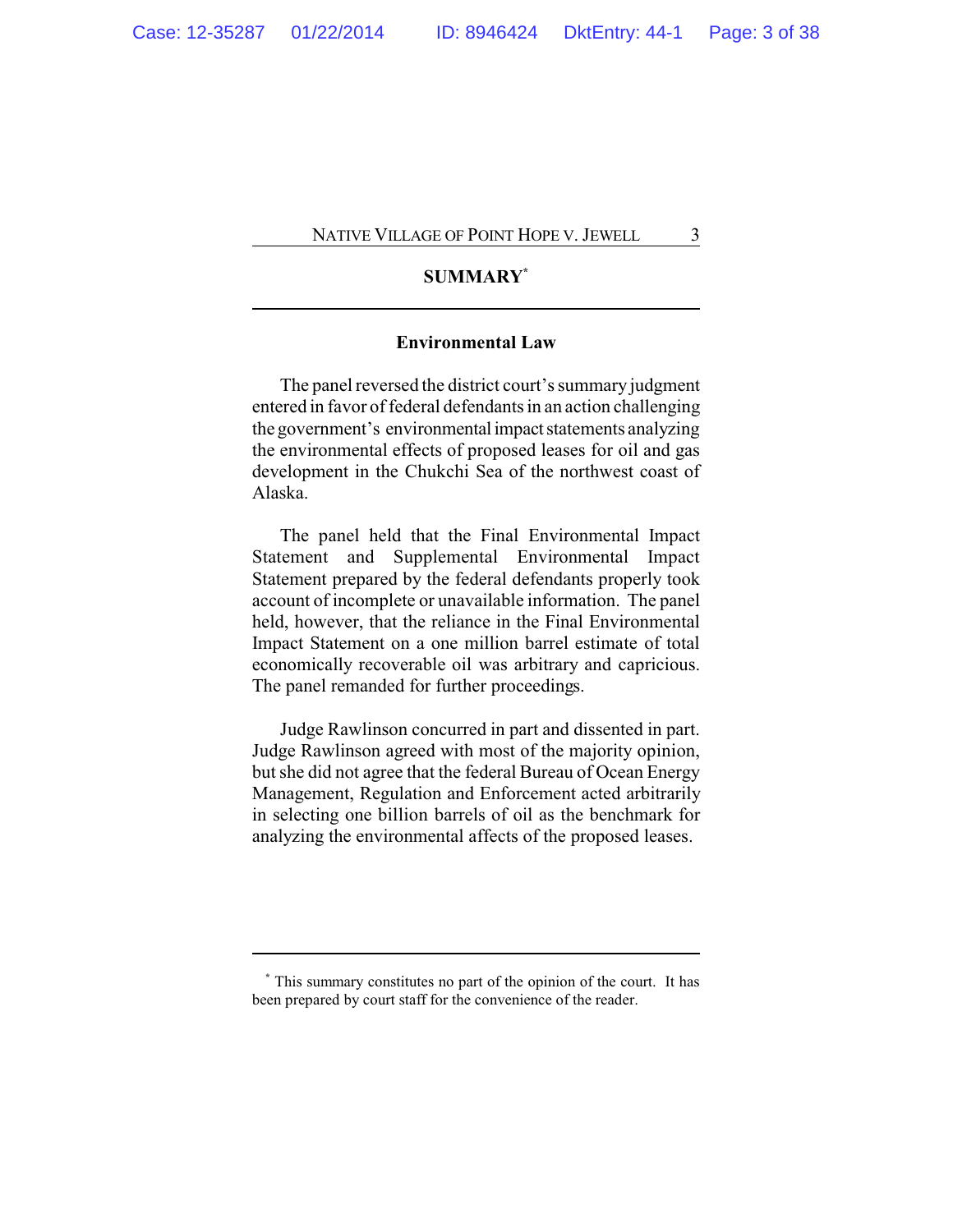# **SUMMARY\***

# **Environmental Law**

The panel reversed the district court's summary judgment entered in favor of federal defendants in an action challenging the government's environmental impact statements analyzing the environmental effects of proposed leases for oil and gas development in the Chukchi Sea of the northwest coast of Alaska.

The panel held that the Final Environmental Impact Statement and Supplemental Environmental Impact Statement prepared by the federal defendants properly took account of incomplete or unavailable information. The panel held, however, that the reliance in the Final Environmental Impact Statement on a one million barrel estimate of total economically recoverable oil was arbitrary and capricious. The panel remanded for further proceedings.

Judge Rawlinson concurred in part and dissented in part. Judge Rawlinson agreed with most of the majority opinion, but she did not agree that the federal Bureau of Ocean Energy Management, Regulation and Enforcement acted arbitrarily in selecting one billion barrels of oil as the benchmark for analyzing the environmental affects of the proposed leases.

**<sup>\*</sup>** This summary constitutes no part of the opinion of the court. It has been prepared by court staff for the convenience of the reader.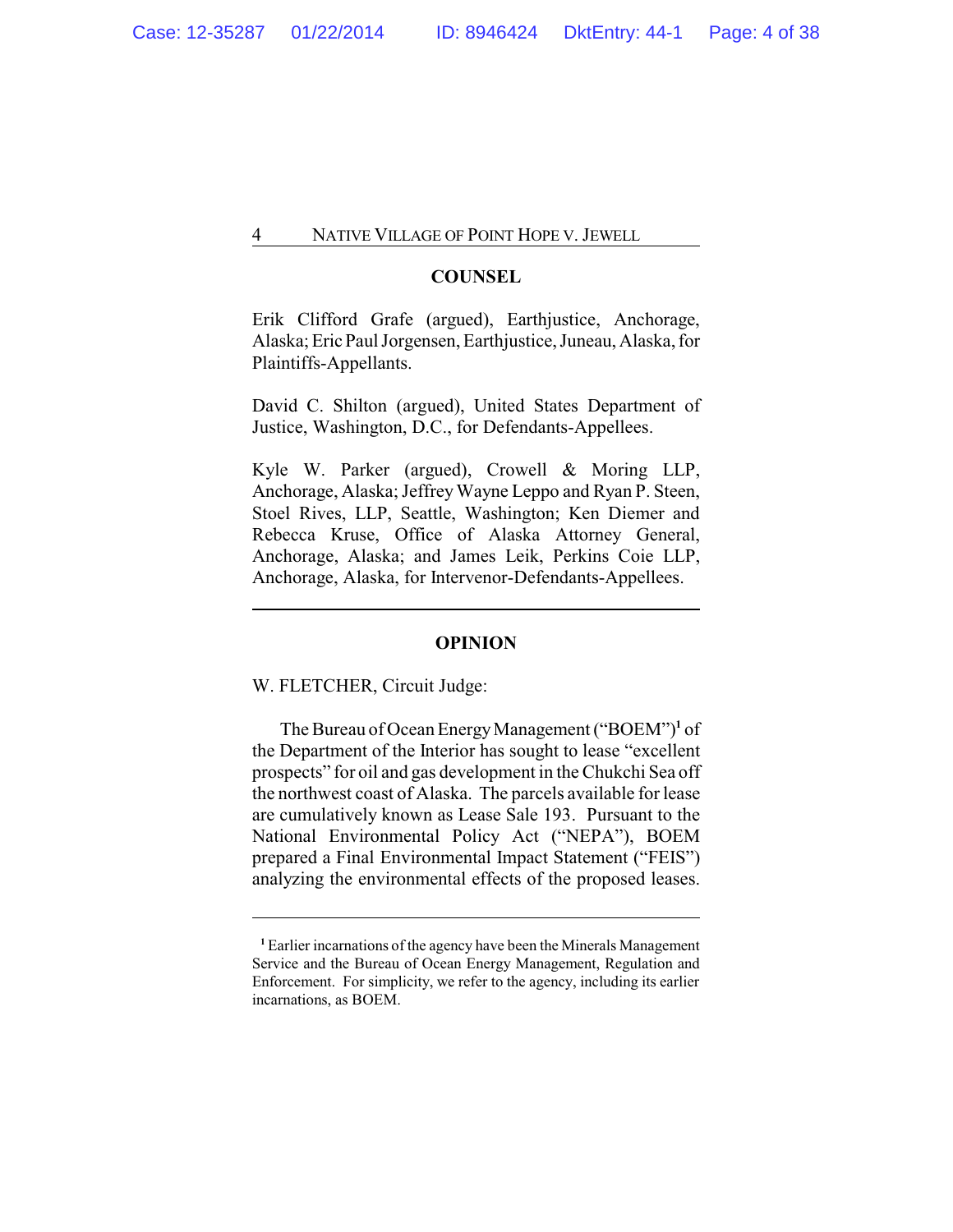# **COUNSEL**

Erik Clifford Grafe (argued), Earthjustice, Anchorage, Alaska; EricPaul Jorgensen, Earthjustice, Juneau, Alaska, for Plaintiffs-Appellants.

David C. Shilton (argued), United States Department of Justice, Washington, D.C., for Defendants-Appellees.

Kyle W. Parker (argued), Crowell & Moring LLP, Anchorage, Alaska; Jeffrey Wayne Leppo and Ryan P. Steen, Stoel Rives, LLP, Seattle, Washington; Ken Diemer and Rebecca Kruse, Office of Alaska Attorney General, Anchorage, Alaska; and James Leik, Perkins Coie LLP, Anchorage, Alaska, for Intervenor-Defendants-Appellees.

#### **OPINION**

## W. FLETCHER, Circuit Judge:

The Bureau of Ocean EnergyManagement ("BOEM")**<sup>1</sup>** of the Department of the Interior has sought to lease "excellent prospects" for oil and gas development in the Chukchi Sea off the northwest coast of Alaska. The parcels available for lease are cumulatively known as Lease Sale 193. Pursuant to the National Environmental Policy Act ("NEPA"), BOEM prepared a Final Environmental Impact Statement ("FEIS") analyzing the environmental effects of the proposed leases.

**<sup>1</sup>** Earlier incarnations of the agency have been the Minerals Management Service and the Bureau of Ocean Energy Management, Regulation and Enforcement. For simplicity, we refer to the agency, including its earlier incarnations, as BOEM.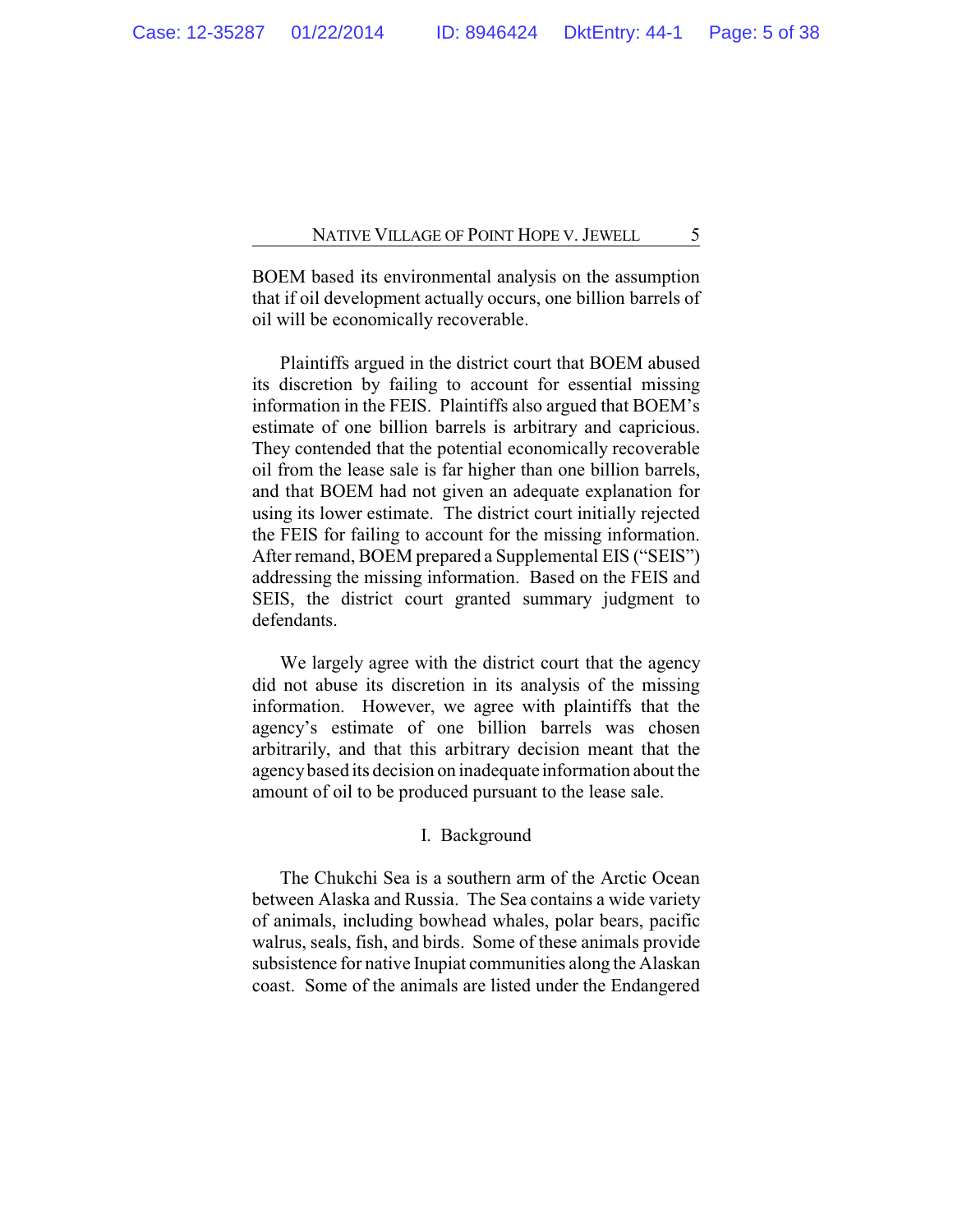BOEM based its environmental analysis on the assumption that if oil development actually occurs, one billion barrels of oil will be economically recoverable.

Plaintiffs argued in the district court that BOEM abused its discretion by failing to account for essential missing information in the FEIS. Plaintiffs also argued that BOEM's estimate of one billion barrels is arbitrary and capricious. They contended that the potential economically recoverable oil from the lease sale is far higher than one billion barrels, and that BOEM had not given an adequate explanation for using its lower estimate. The district court initially rejected the FEIS for failing to account for the missing information. After remand, BOEM prepared a Supplemental EIS ("SEIS") addressing the missing information. Based on the FEIS and SEIS, the district court granted summary judgment to defendants.

We largely agree with the district court that the agency did not abuse its discretion in its analysis of the missing information. However, we agree with plaintiffs that the agency's estimate of one billion barrels was chosen arbitrarily, and that this arbitrary decision meant that the agencybased its decision on inadequate information about the amount of oil to be produced pursuant to the lease sale.

#### I. Background

The Chukchi Sea is a southern arm of the Arctic Ocean between Alaska and Russia. The Sea contains a wide variety of animals, including bowhead whales, polar bears, pacific walrus, seals, fish, and birds. Some of these animals provide subsistence for native Inupiat communities along the Alaskan coast. Some of the animals are listed under the Endangered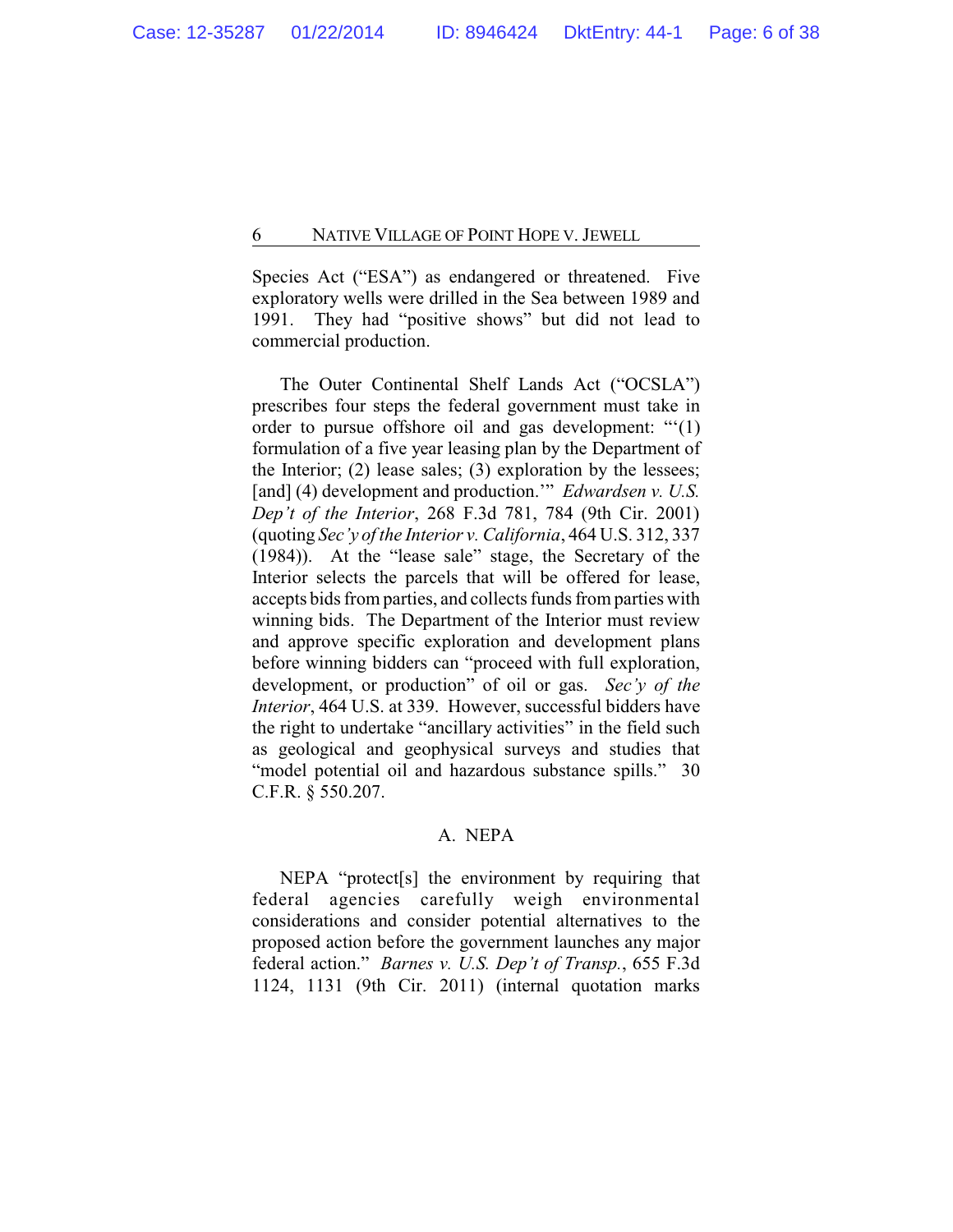Species Act ("ESA") as endangered or threatened. Five exploratory wells were drilled in the Sea between 1989 and 1991. They had "positive shows" but did not lead to commercial production.

The Outer Continental Shelf Lands Act ("OCSLA") prescribes four steps the federal government must take in order to pursue offshore oil and gas development: "'(1) formulation of a five year leasing plan by the Department of the Interior; (2) lease sales; (3) exploration by the lessees; [and] (4) development and production.'" *Edwardsen v. U.S. Dep't of the Interior*, 268 F.3d 781, 784 (9th Cir. 2001) (quoting *Sec'y of the Interior v. California*, 464 U.S. 312, 337 (1984)). At the "lease sale" stage, the Secretary of the Interior selects the parcels that will be offered for lease, accepts bids from parties, and collects funds from parties with winning bids. The Department of the Interior must review and approve specific exploration and development plans before winning bidders can "proceed with full exploration, development, or production" of oil or gas. *Sec'y of the Interior*, 464 U.S. at 339. However, successful bidders have the right to undertake "ancillary activities" in the field such as geological and geophysical surveys and studies that "model potential oil and hazardous substance spills." 30 C.F.R. § 550.207.

# A. NEPA

NEPA "protect[s] the environment by requiring that federal agencies carefully weigh environmental considerations and consider potential alternatives to the proposed action before the government launches any major federal action." *Barnes v. U.S. Dep't of Transp.*, 655 F.3d 1124, 1131 (9th Cir. 2011) (internal quotation marks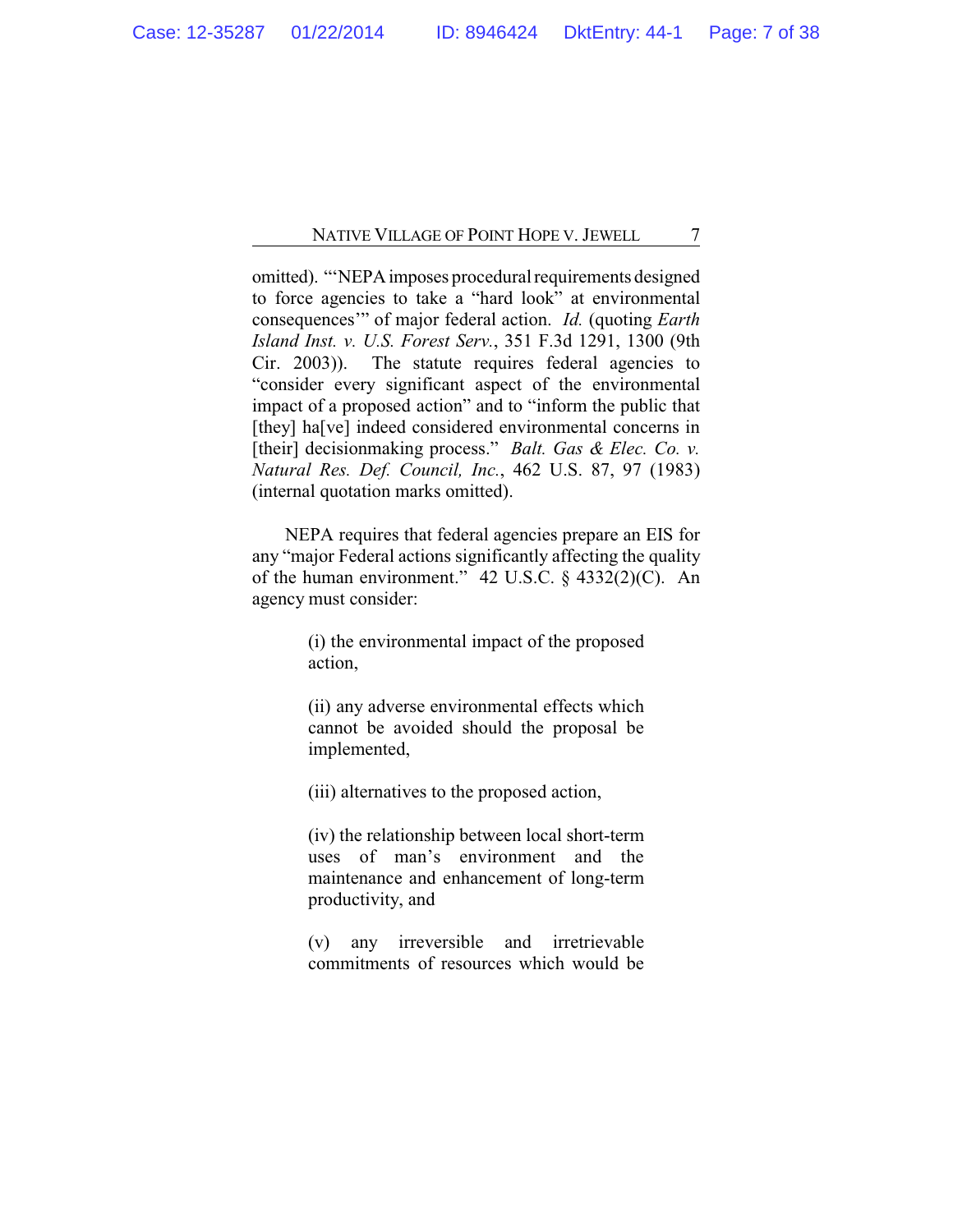omitted). "'NEPA imposes procedural requirements designed to force agencies to take a "hard look" at environmental consequences'" of major federal action. *Id.* (quoting *Earth Island Inst. v. U.S. Forest Serv.*, 351 F.3d 1291, 1300 (9th Cir. 2003)). The statute requires federal agencies to "consider every significant aspect of the environmental impact of a proposed action" and to "inform the public that [they] ha[ve] indeed considered environmental concerns in [their] decisionmaking process." *Balt. Gas & Elec. Co. v. Natural Res. Def. Council, Inc.*, 462 U.S. 87, 97 (1983) (internal quotation marks omitted).

NEPA requires that federal agencies prepare an EIS for any "major Federal actions significantly affecting the quality of the human environment." 42 U.S.C. § 4332(2)(C). An agency must consider:

> (i) the environmental impact of the proposed action,

> (ii) any adverse environmental effects which cannot be avoided should the proposal be implemented,

(iii) alternatives to the proposed action,

(iv) the relationship between local short-term uses of man's environment and the maintenance and enhancement of long-term productivity, and

(v) any irreversible and irretrievable commitments of resources which would be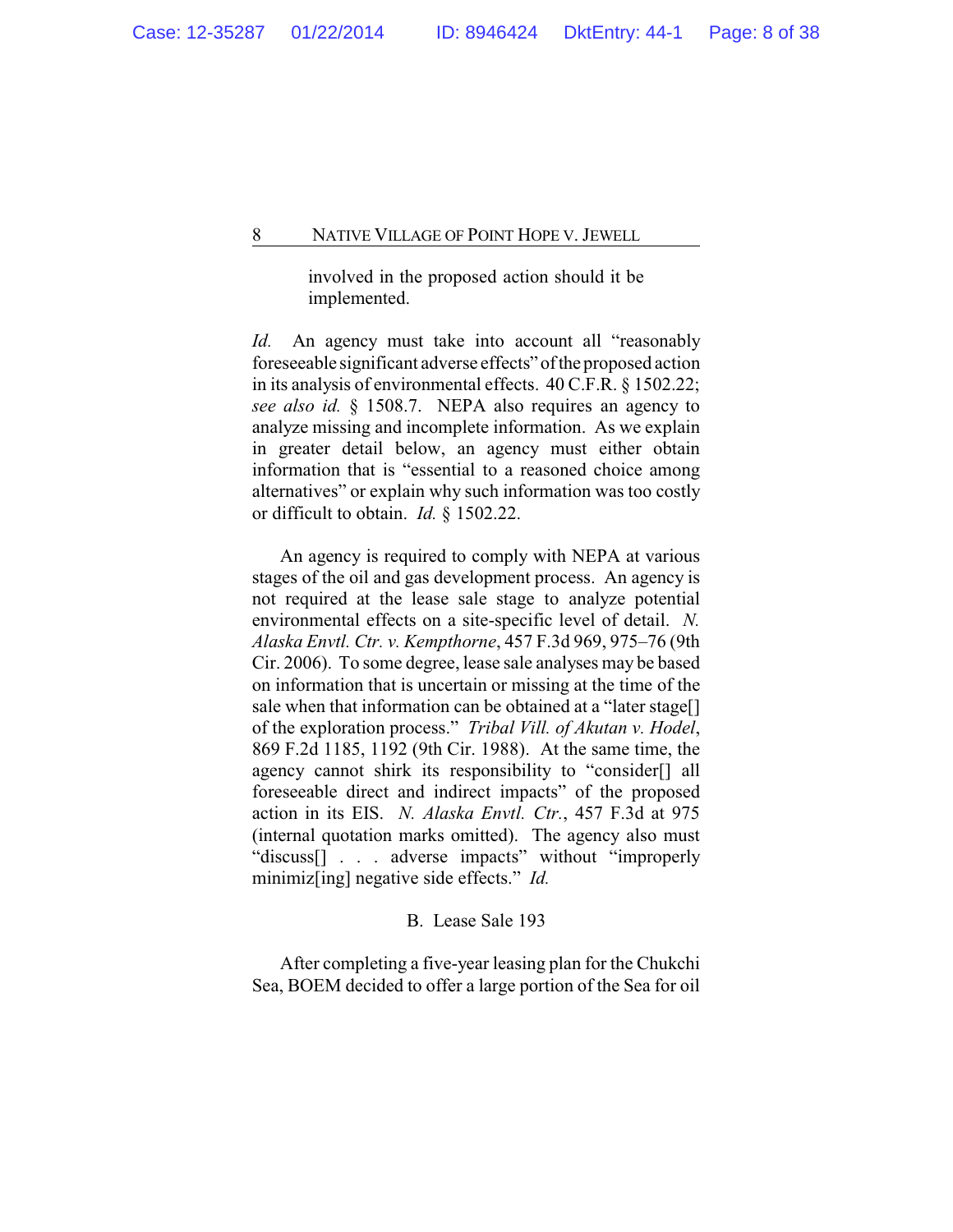involved in the proposed action should it be implemented.

*Id.* An agency must take into account all "reasonably foreseeable significant adverse effects" of the proposed action in its analysis of environmental effects. 40 C.F.R. § 1502.22; *see also id.* § 1508.7. NEPA also requires an agency to analyze missing and incomplete information. As we explain in greater detail below, an agency must either obtain information that is "essential to a reasoned choice among alternatives" or explain why such information was too costly or difficult to obtain. *Id.* § 1502.22.

An agency is required to comply with NEPA at various stages of the oil and gas development process. An agency is not required at the lease sale stage to analyze potential environmental effects on a site-specific level of detail. *N. Alaska Envtl. Ctr. v. Kempthorne*, 457 F.3d 969, 975–76 (9th Cir. 2006). To some degree, lease sale analyses may be based on information that is uncertain or missing at the time of the sale when that information can be obtained at a "later stage[] of the exploration process." *Tribal Vill. of Akutan v. Hodel*, 869 F.2d 1185, 1192 (9th Cir. 1988). At the same time, the agency cannot shirk its responsibility to "consider[] all foreseeable direct and indirect impacts" of the proposed action in its EIS. *N. Alaska Envtl. Ctr.*, 457 F.3d at 975 (internal quotation marks omitted). The agency also must "discuss[] . . . adverse impacts" without "improperly minimiz[ing] negative side effects." *Id.*

# B. Lease Sale 193

After completing a five-year leasing plan for the Chukchi Sea, BOEM decided to offer a large portion of the Sea for oil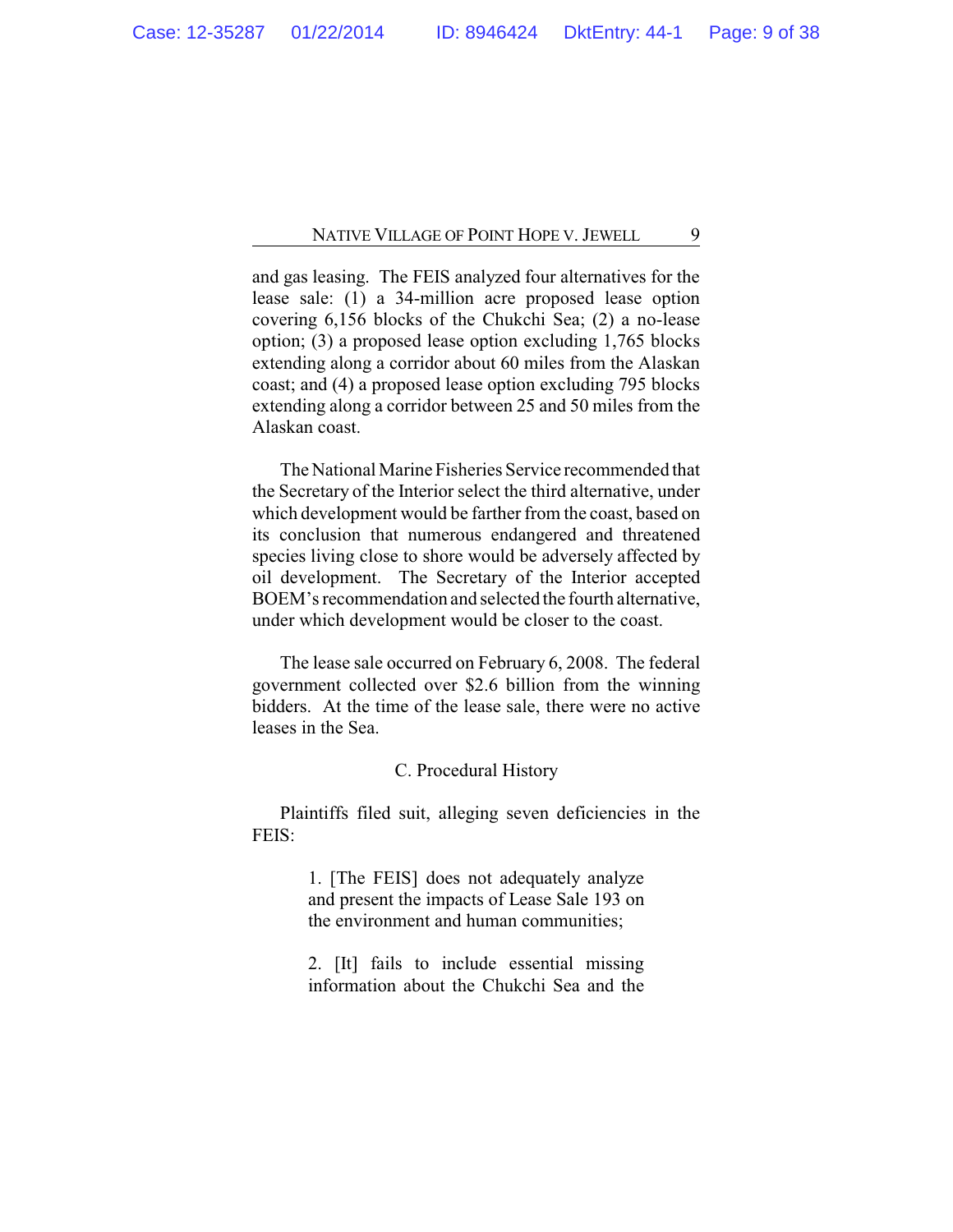and gas leasing. The FEIS analyzed four alternatives for the lease sale: (1) a 34-million acre proposed lease option covering 6,156 blocks of the Chukchi Sea; (2) a no-lease option; (3) a proposed lease option excluding 1,765 blocks extending along a corridor about 60 miles from the Alaskan coast; and (4) a proposed lease option excluding 795 blocks extending along a corridor between 25 and 50 miles from the Alaskan coast.

The National Marine Fisheries Service recommended that the Secretary of the Interior select the third alternative, under which development would be farther from the coast, based on its conclusion that numerous endangered and threatened species living close to shore would be adversely affected by oil development. The Secretary of the Interior accepted BOEM's recommendation and selected the fourth alternative, under which development would be closer to the coast.

The lease sale occurred on February 6, 2008. The federal government collected over \$2.6 billion from the winning bidders. At the time of the lease sale, there were no active leases in the Sea.

# C. Procedural History

Plaintiffs filed suit, alleging seven deficiencies in the FEIS:

> 1. [The FEIS] does not adequately analyze and present the impacts of Lease Sale 193 on the environment and human communities;

> 2. [It] fails to include essential missing information about the Chukchi Sea and the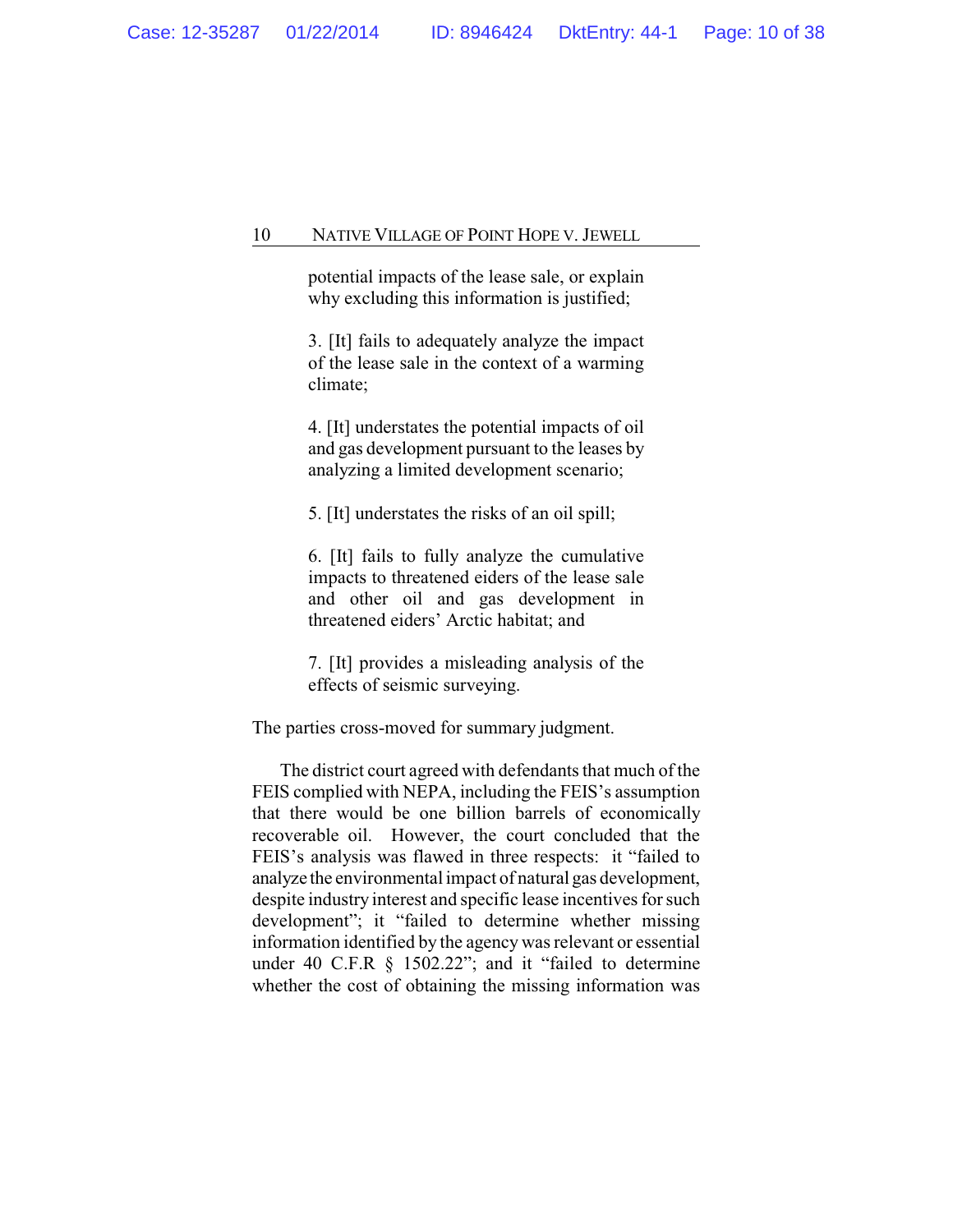potential impacts of the lease sale, or explain why excluding this information is justified;

3. [It] fails to adequately analyze the impact of the lease sale in the context of a warming climate;

4. [It] understates the potential impacts of oil and gas development pursuant to the leases by analyzing a limited development scenario;

5. [It] understates the risks of an oil spill;

6. [It] fails to fully analyze the cumulative impacts to threatened eiders of the lease sale and other oil and gas development in threatened eiders' Arctic habitat; and

7. [It] provides a misleading analysis of the effects of seismic surveying.

The parties cross-moved for summary judgment.

The district court agreed with defendants that much of the FEIS complied with NEPA, including the FEIS's assumption that there would be one billion barrels of economically recoverable oil. However, the court concluded that the FEIS's analysis was flawed in three respects: it "failed to analyze the environmental impact of natural gas development, despite industry interest and specific lease incentives for such development"; it "failed to determine whether missing information identified by the agency was relevant or essential under 40 C.F.R § 1502.22"; and it "failed to determine whether the cost of obtaining the missing information was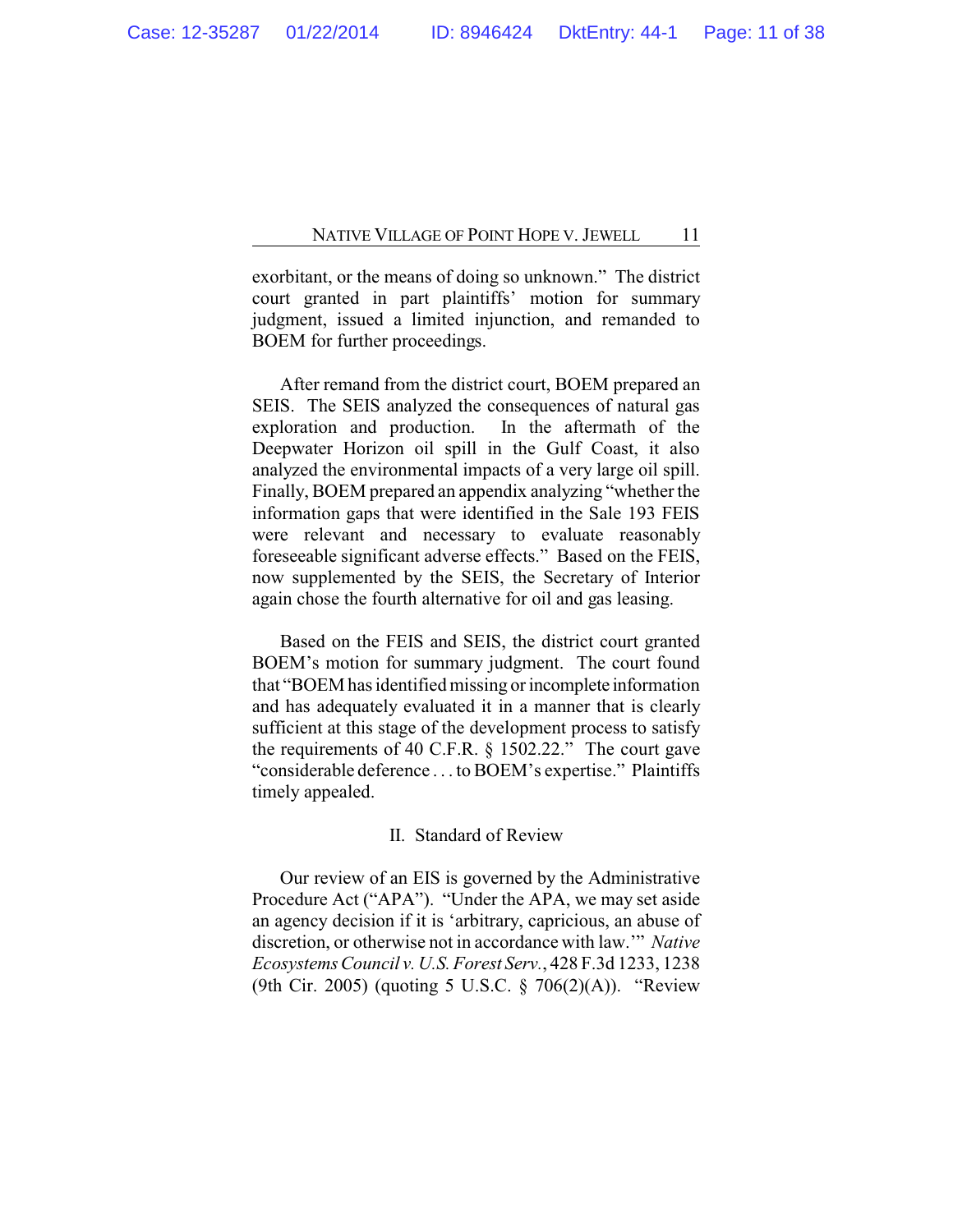exorbitant, or the means of doing so unknown." The district court granted in part plaintiffs' motion for summary judgment, issued a limited injunction, and remanded to BOEM for further proceedings.

After remand from the district court, BOEM prepared an SEIS. The SEIS analyzed the consequences of natural gas exploration and production. In the aftermath of the Deepwater Horizon oil spill in the Gulf Coast, it also analyzed the environmental impacts of a very large oil spill. Finally, BOEM prepared an appendix analyzing "whether the information gaps that were identified in the Sale 193 FEIS were relevant and necessary to evaluate reasonably foreseeable significant adverse effects." Based on the FEIS, now supplemented by the SEIS, the Secretary of Interior again chose the fourth alternative for oil and gas leasing.

Based on the FEIS and SEIS, the district court granted BOEM's motion for summary judgment. The court found that "BOEM has identified missing or incomplete information and has adequately evaluated it in a manner that is clearly sufficient at this stage of the development process to satisfy the requirements of 40 C.F.R. § 1502.22." The court gave "considerable deference . . . to BOEM's expertise." Plaintiffs timely appealed.

# II. Standard of Review

Our review of an EIS is governed by the Administrative Procedure Act ("APA"). "Under the APA, we may set aside an agency decision if it is 'arbitrary, capricious, an abuse of discretion, or otherwise not in accordance with law.'" *Native Ecosystems Council v. U.S. Forest Serv.*, 428 F.3d 1233, 1238 (9th Cir. 2005) (quoting 5 U.S.C. § 706(2)(A)). "Review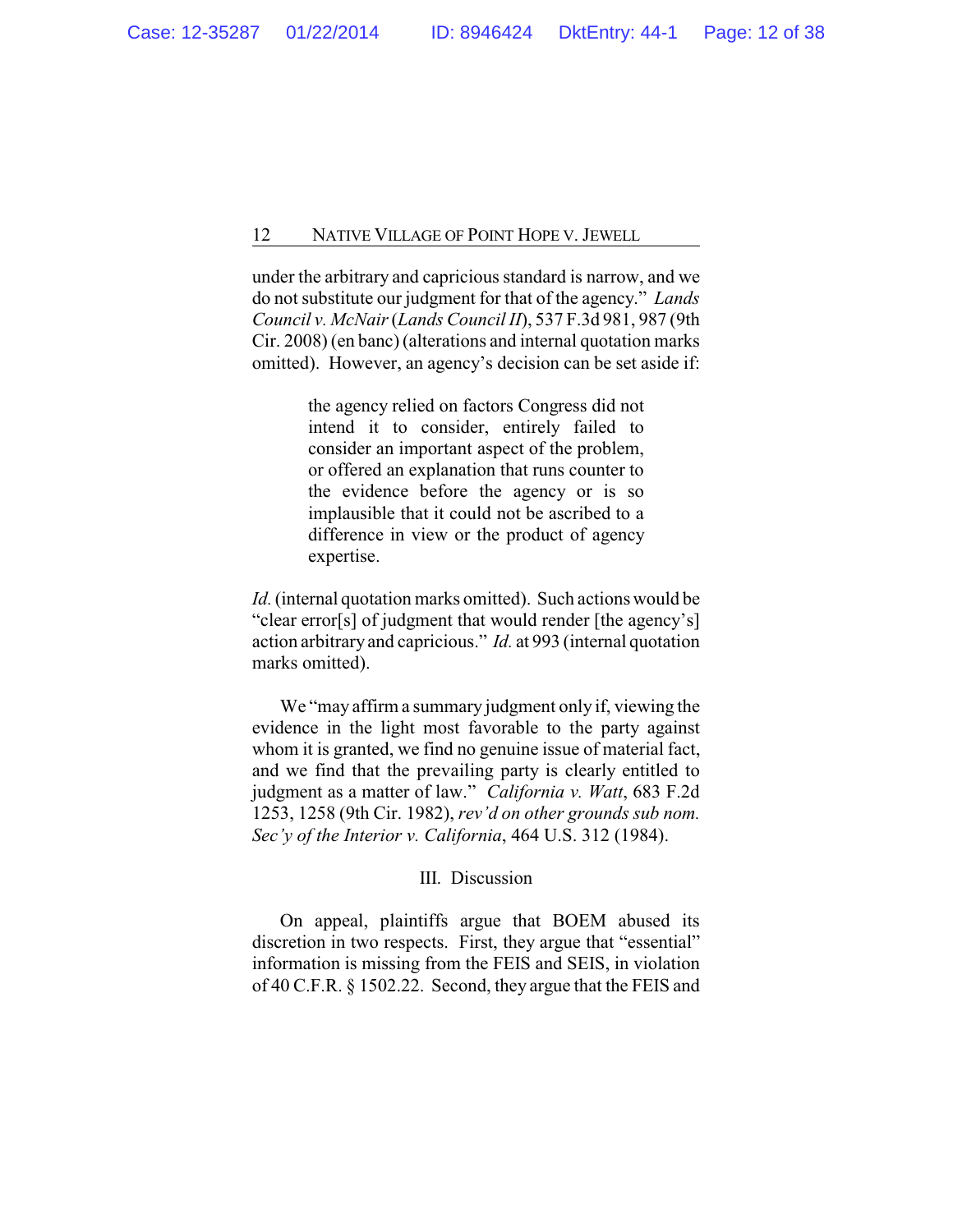under the arbitrary and capricious standard is narrow, and we do not substitute our judgment for that of the agency." *Lands Council v. McNair* (*Lands Council II*), 537 F.3d 981, 987 (9th Cir. 2008) (en banc) (alterations and internal quotation marks omitted). However, an agency's decision can be set aside if:

> the agency relied on factors Congress did not intend it to consider, entirely failed to consider an important aspect of the problem, or offered an explanation that runs counter to the evidence before the agency or is so implausible that it could not be ascribed to a difference in view or the product of agency expertise.

*Id.*(internal quotation marks omitted). Such actions would be "clear error[s] of judgment that would render [the agency's] action arbitrary and capricious." *Id.* at 993 (internal quotation marks omitted).

We "may affirm a summary judgment only if, viewing the evidence in the light most favorable to the party against whom it is granted, we find no genuine issue of material fact, and we find that the prevailing party is clearly entitled to judgment as a matter of law." *California v. Watt*, 683 F.2d 1253, 1258 (9th Cir. 1982), *rev'd on other grounds sub nom. Sec'y of the Interior v. California*, 464 U.S. 312 (1984).

#### III. Discussion

On appeal, plaintiffs argue that BOEM abused its discretion in two respects. First, they argue that "essential" information is missing from the FEIS and SEIS, in violation of 40 C.F.R. § 1502.22. Second, they argue that the FEIS and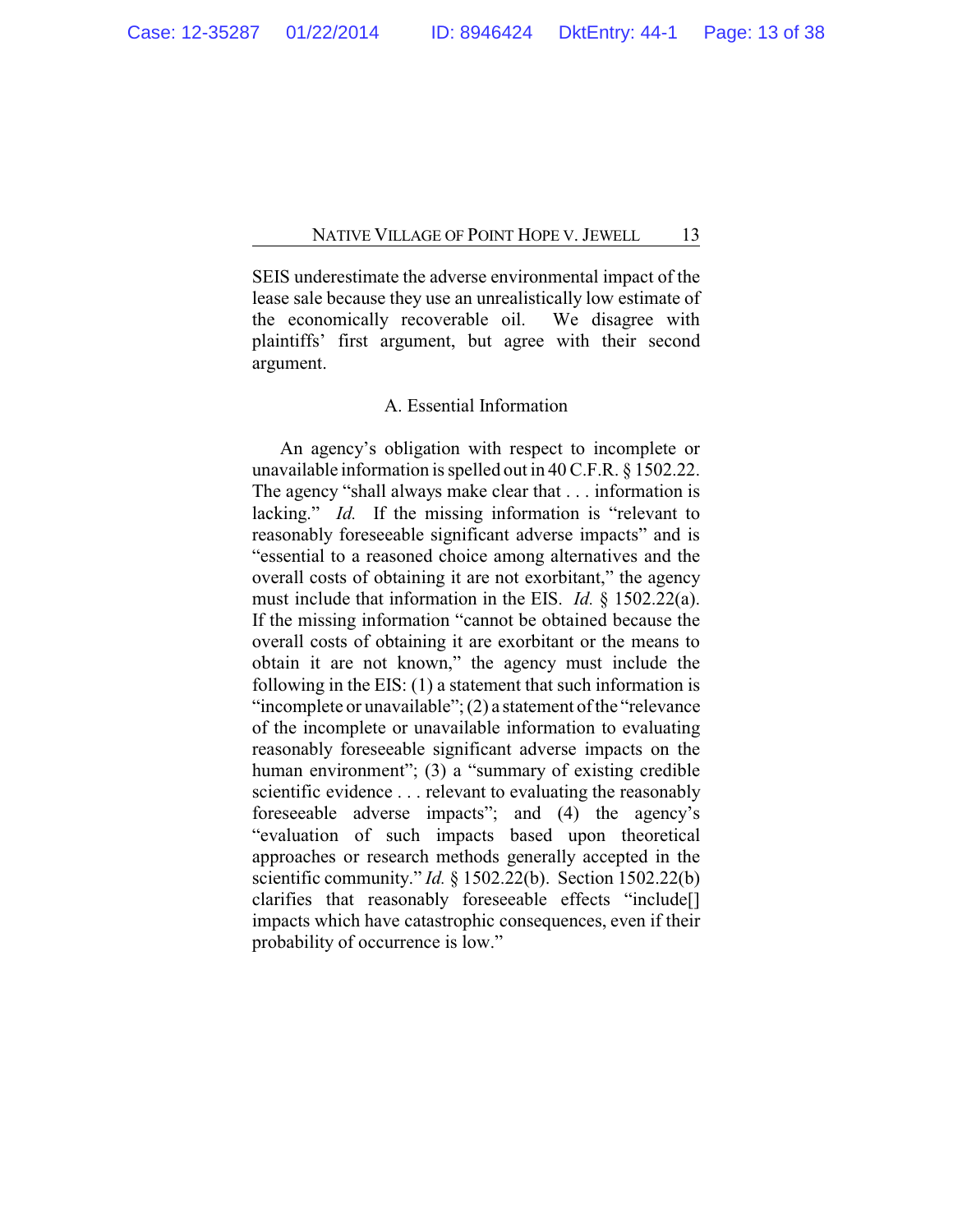SEIS underestimate the adverse environmental impact of the lease sale because they use an unrealistically low estimate of the economically recoverable oil. We disagree with plaintiffs' first argument, but agree with their second argument.

# A. Essential Information

An agency's obligation with respect to incomplete or unavailable information is spelled out in 40 C.F.R. § 1502.22. The agency "shall always make clear that . . . information is lacking." *Id.* If the missing information is "relevant to reasonably foreseeable significant adverse impacts" and is "essential to a reasoned choice among alternatives and the overall costs of obtaining it are not exorbitant," the agency must include that information in the EIS. *Id.* § 1502.22(a). If the missing information "cannot be obtained because the overall costs of obtaining it are exorbitant or the means to obtain it are not known," the agency must include the following in the EIS: (1) a statement that such information is "incomplete or unavailable";  $(2)$  a statement of the "relevance" of the incomplete or unavailable information to evaluating reasonably foreseeable significant adverse impacts on the human environment"; (3) a "summary of existing credible scientific evidence . . . relevant to evaluating the reasonably foreseeable adverse impacts"; and (4) the agency's "evaluation of such impacts based upon theoretical approaches or research methods generally accepted in the scientific community." *Id.* § 1502.22(b). Section 1502.22(b) clarifies that reasonably foreseeable effects "include[] impacts which have catastrophic consequences, even if their probability of occurrence is low."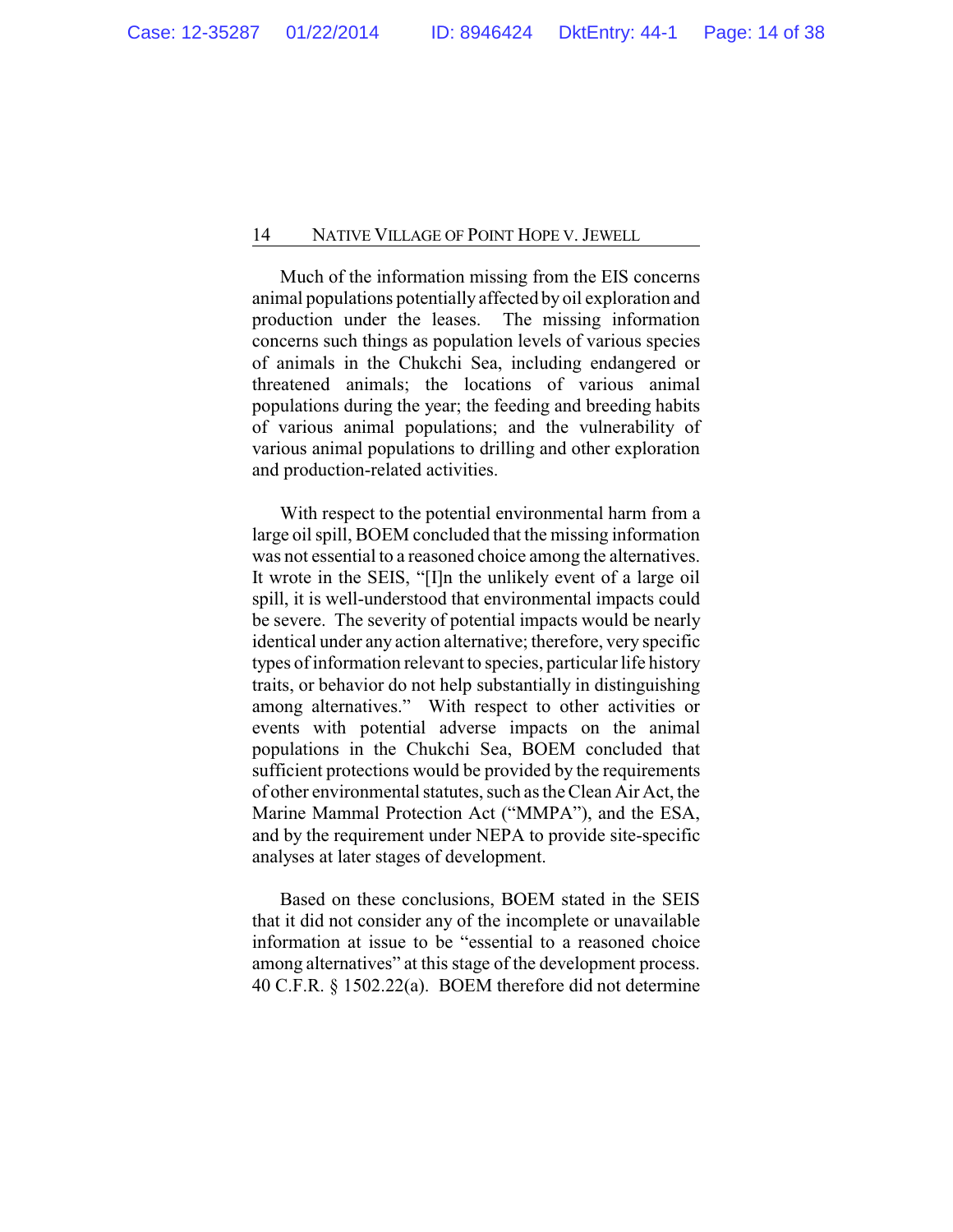Much of the information missing from the EIS concerns animal populations potentially affected by oil exploration and production under the leases. The missing information concerns such things as population levels of various species of animals in the Chukchi Sea, including endangered or threatened animals; the locations of various animal populations during the year; the feeding and breeding habits of various animal populations; and the vulnerability of various animal populations to drilling and other exploration and production-related activities.

With respect to the potential environmental harm from a large oil spill, BOEM concluded that the missing information was not essential to a reasoned choice among the alternatives. It wrote in the SEIS, "[I]n the unlikely event of a large oil spill, it is well-understood that environmental impacts could be severe. The severity of potential impacts would be nearly identical under any action alternative; therefore, very specific types of information relevant to species, particular life history traits, or behavior do not help substantially in distinguishing among alternatives." With respect to other activities or events with potential adverse impacts on the animal populations in the Chukchi Sea, BOEM concluded that sufficient protections would be provided by the requirements of other environmental statutes, such as the Clean Air Act, the Marine Mammal Protection Act ("MMPA"), and the ESA, and by the requirement under NEPA to provide site-specific analyses at later stages of development.

Based on these conclusions, BOEM stated in the SEIS that it did not consider any of the incomplete or unavailable information at issue to be "essential to a reasoned choice among alternatives" at this stage of the development process. 40 C.F.R. § 1502.22(a). BOEM therefore did not determine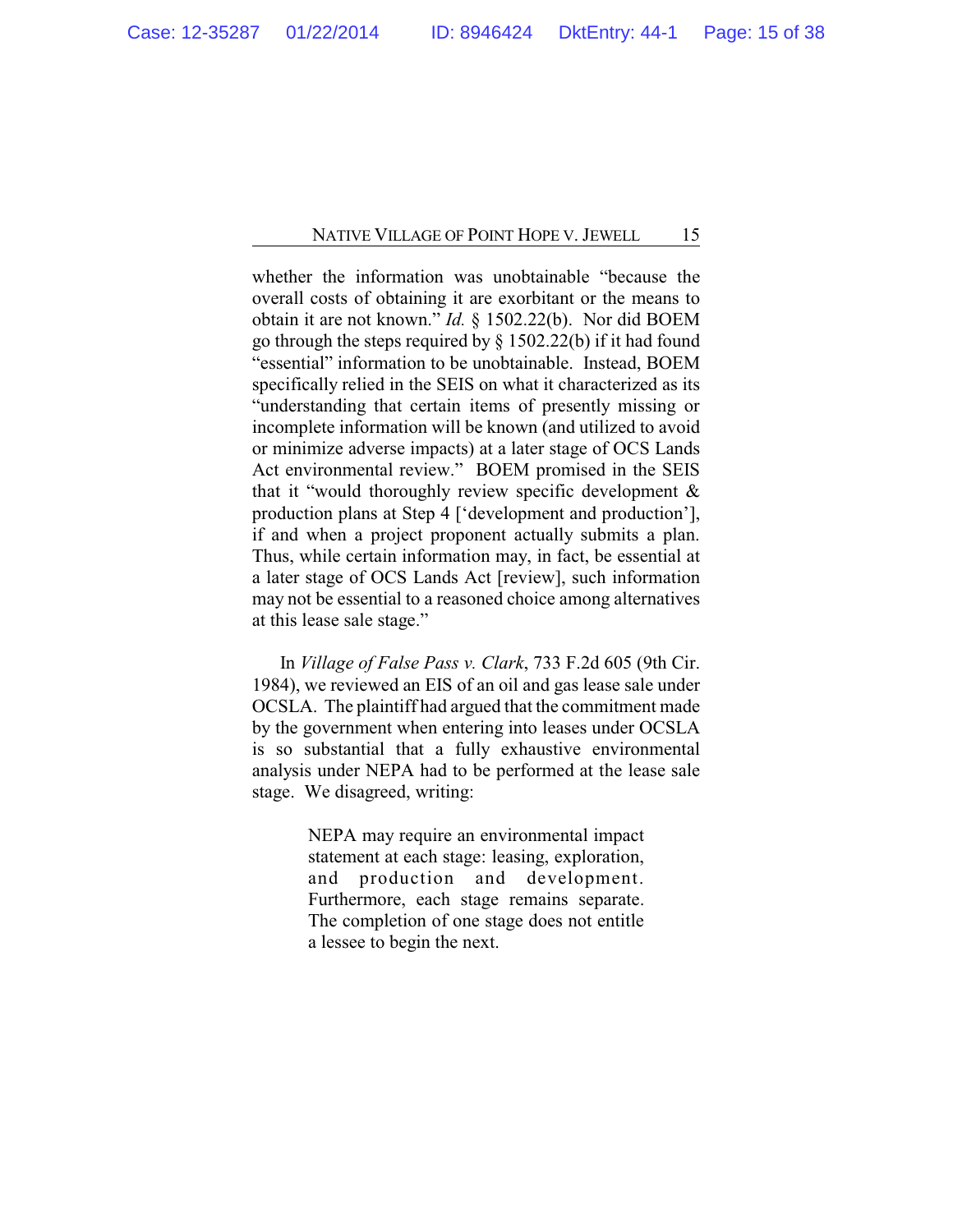whether the information was unobtainable "because the overall costs of obtaining it are exorbitant or the means to obtain it are not known." *Id.* § 1502.22(b). Nor did BOEM go through the steps required by § 1502.22(b) if it had found "essential" information to be unobtainable. Instead, BOEM specifically relied in the SEIS on what it characterized as its "understanding that certain items of presently missing or incomplete information will be known (and utilized to avoid or minimize adverse impacts) at a later stage of OCS Lands Act environmental review." BOEM promised in the SEIS that it "would thoroughly review specific development & production plans at Step 4 ['development and production'], if and when a project proponent actually submits a plan. Thus, while certain information may, in fact, be essential at a later stage of OCS Lands Act [review], such information may not be essential to a reasoned choice among alternatives at this lease sale stage."

In *Village of False Pass v. Clark*, 733 F.2d 605 (9th Cir. 1984), we reviewed an EIS of an oil and gas lease sale under OCSLA. The plaintiff had argued that the commitment made by the government when entering into leases under OCSLA is so substantial that a fully exhaustive environmental analysis under NEPA had to be performed at the lease sale stage. We disagreed, writing:

> NEPA may require an environmental impact statement at each stage: leasing, exploration, and production and development. Furthermore, each stage remains separate. The completion of one stage does not entitle a lessee to begin the next.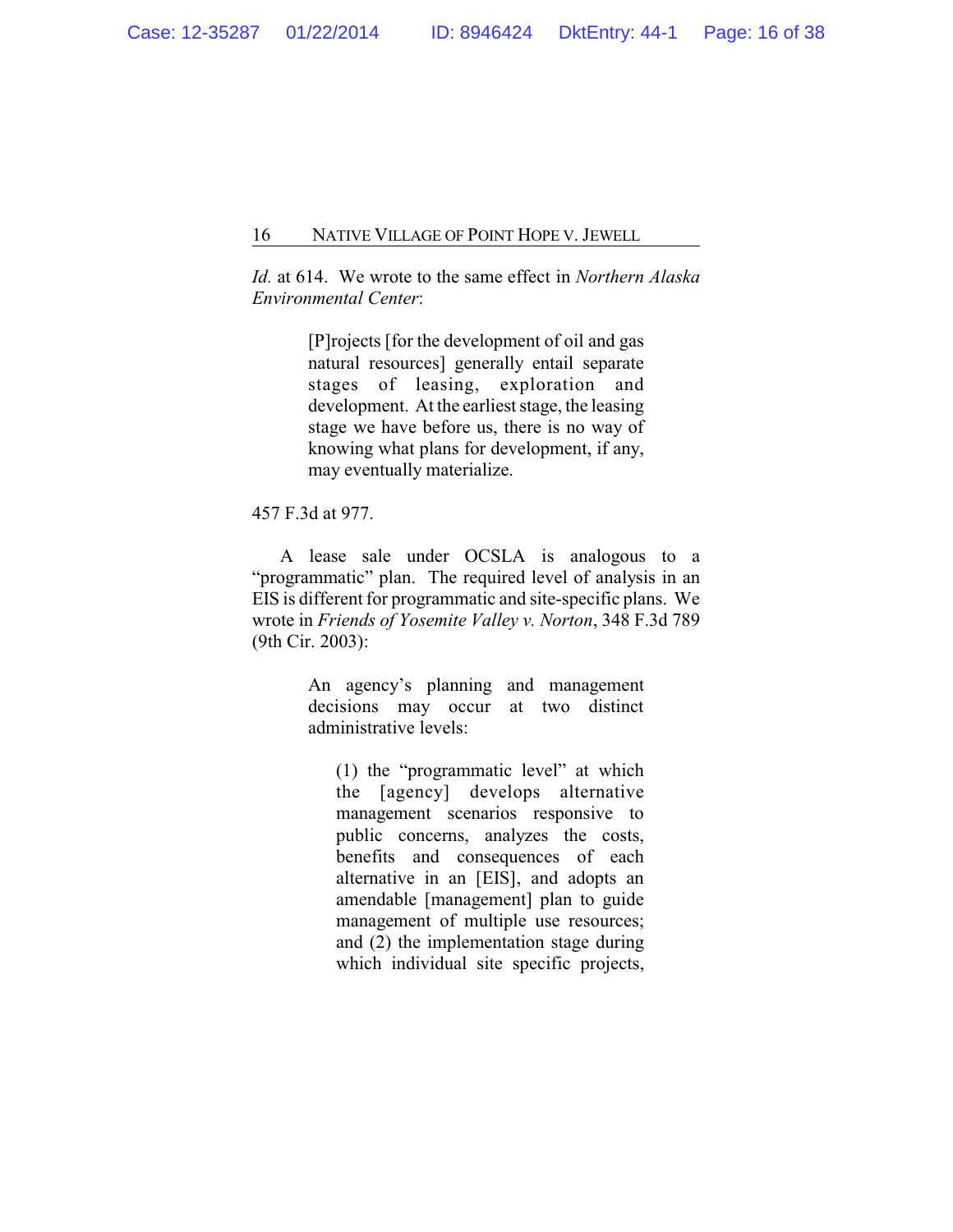*Id.* at 614. We wrote to the same effect in *Northern Alaska Environmental Center*:

> [P]rojects [for the development of oil and gas natural resources] generally entail separate stages of leasing, exploration and development. At the earliest stage, the leasing stage we have before us, there is no way of knowing what plans for development, if any, may eventually materialize.

# 457 F.3d at 977.

A lease sale under OCSLA is analogous to a "programmatic" plan. The required level of analysis in an EIS is different for programmatic and site-specific plans. We wrote in *Friends of Yosemite Valley v. Norton*, 348 F.3d 789 (9th Cir. 2003):

> An agency's planning and management decisions may occur at two distinct administrative levels:

(1) the "programmatic level" at which the [agency] develops alternative management scenarios responsive to public concerns, analyzes the costs, benefits and consequences of each alternative in an [EIS], and adopts an amendable [management] plan to guide management of multiple use resources; and (2) the implementation stage during which individual site specific projects,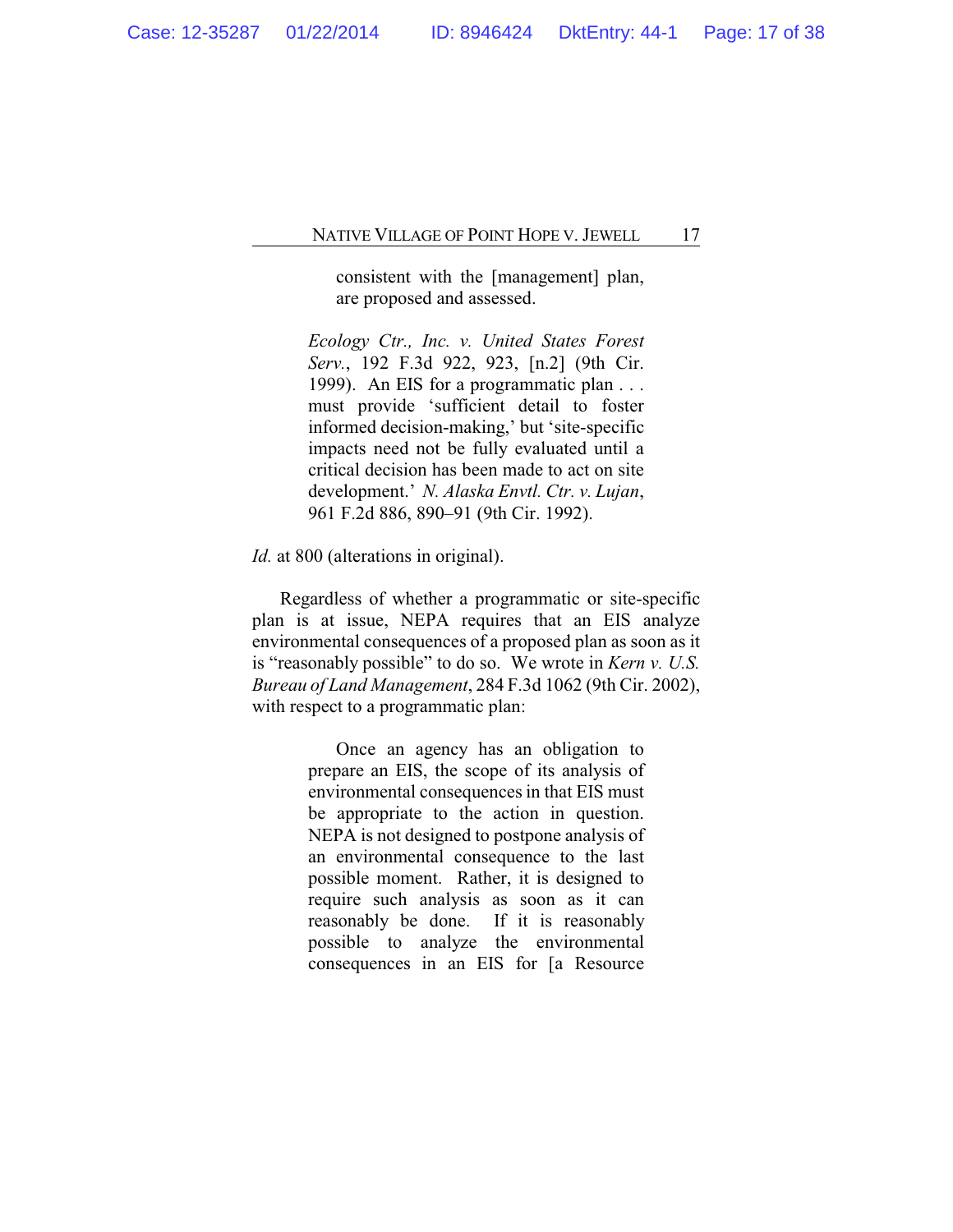consistent with the [management] plan, are proposed and assessed.

*Ecology Ctr., Inc. v. United States Forest Serv.*, 192 F.3d 922, 923, [n.2] (9th Cir. 1999). An EIS for a programmatic plan . . . must provide 'sufficient detail to foster informed decision-making,' but 'site-specific impacts need not be fully evaluated until a critical decision has been made to act on site development.' *N. Alaska Envtl. Ctr. v. Lujan*, 961 F.2d 886, 890–91 (9th Cir. 1992).

*Id.* at 800 (alterations in original).

Regardless of whether a programmatic or site-specific plan is at issue, NEPA requires that an EIS analyze environmental consequences of a proposed plan as soon as it is "reasonably possible" to do so. We wrote in *Kern v. U.S. Bureau of Land Management*, 284 F.3d 1062 (9th Cir. 2002), with respect to a programmatic plan:

> Once an agency has an obligation to prepare an EIS, the scope of its analysis of environmental consequences in that EIS must be appropriate to the action in question. NEPA is not designed to postpone analysis of an environmental consequence to the last possible moment. Rather, it is designed to require such analysis as soon as it can reasonably be done. If it is reasonably possible to analyze the environmental consequences in an EIS for [a Resource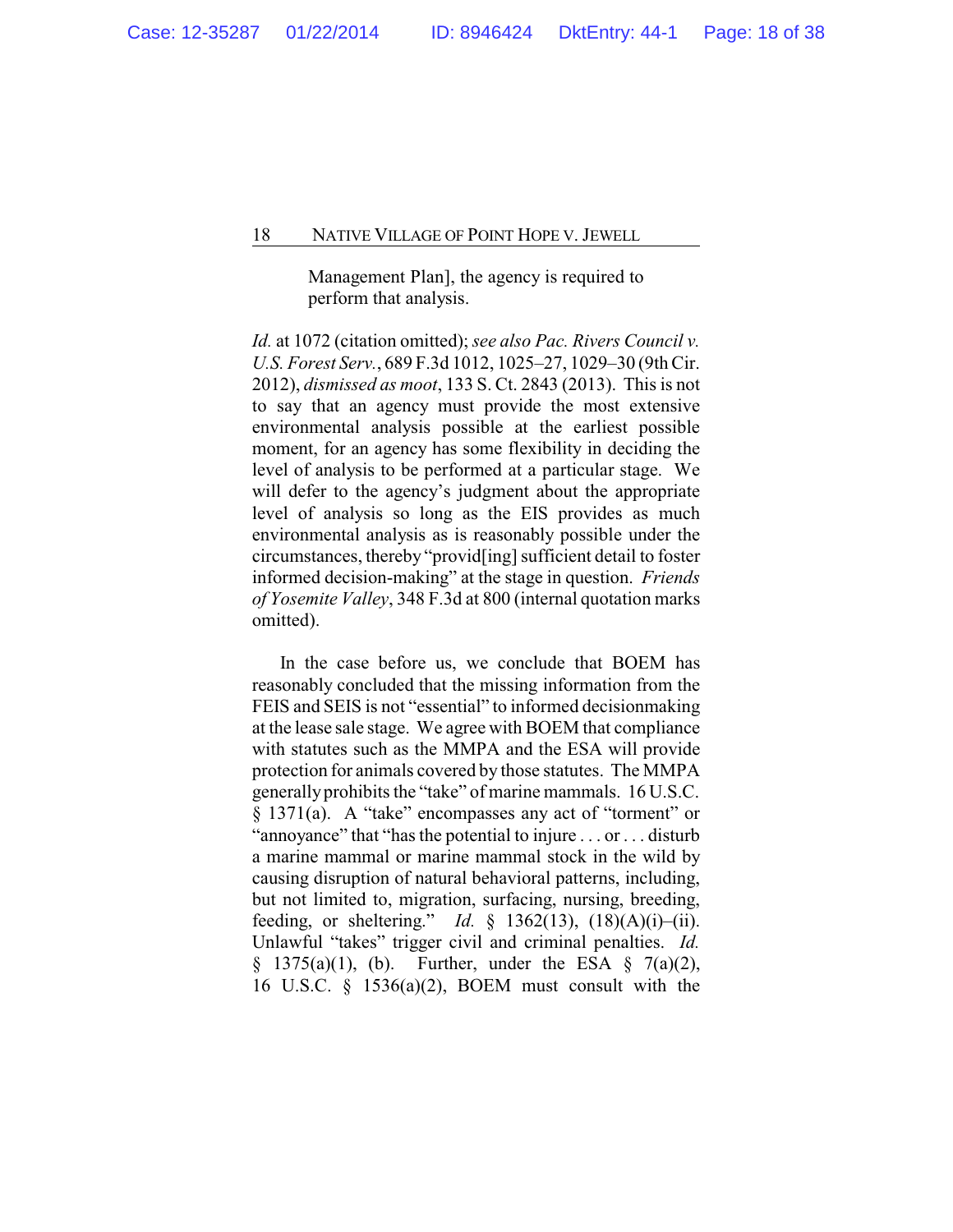Management Plan], the agency is required to perform that analysis.

*Id.* at 1072 (citation omitted); *see also Pac. Rivers Council v. U.S. Forest Serv.*, 689 F.3d 1012, 1025–27, 1029–30 (9th Cir. 2012), *dismissed as moot*, 133 S. Ct. 2843 (2013). This is not to say that an agency must provide the most extensive environmental analysis possible at the earliest possible moment, for an agency has some flexibility in deciding the level of analysis to be performed at a particular stage. We will defer to the agency's judgment about the appropriate level of analysis so long as the EIS provides as much environmental analysis as is reasonably possible under the circumstances, thereby "provid[ing] sufficient detail to foster informed decision-making" at the stage in question. *Friends of Yosemite Valley*, 348 F.3d at 800 (internal quotation marks omitted).

In the case before us, we conclude that BOEM has reasonably concluded that the missing information from the FEIS and SEIS is not "essential" to informed decisionmaking at the lease sale stage. We agree with BOEM that compliance with statutes such as the MMPA and the ESA will provide protection for animals covered by those statutes. The MMPA generallyprohibits the "take" of marine mammals. 16 U.S.C. § 1371(a). A "take" encompasses any act of "torment" or "annoyance" that "has the potential to injure . . . or . . . disturb a marine mammal or marine mammal stock in the wild by causing disruption of natural behavioral patterns, including, but not limited to, migration, surfacing, nursing, breeding, feeding, or sheltering." *Id.* § 1362(13), (18)(A)(i)–(ii). Unlawful "takes" trigger civil and criminal penalties. *Id.*  $§$  1375(a)(1), (b). Further, under the ESA  $§$  7(a)(2), 16 U.S.C. § 1536(a)(2), BOEM must consult with the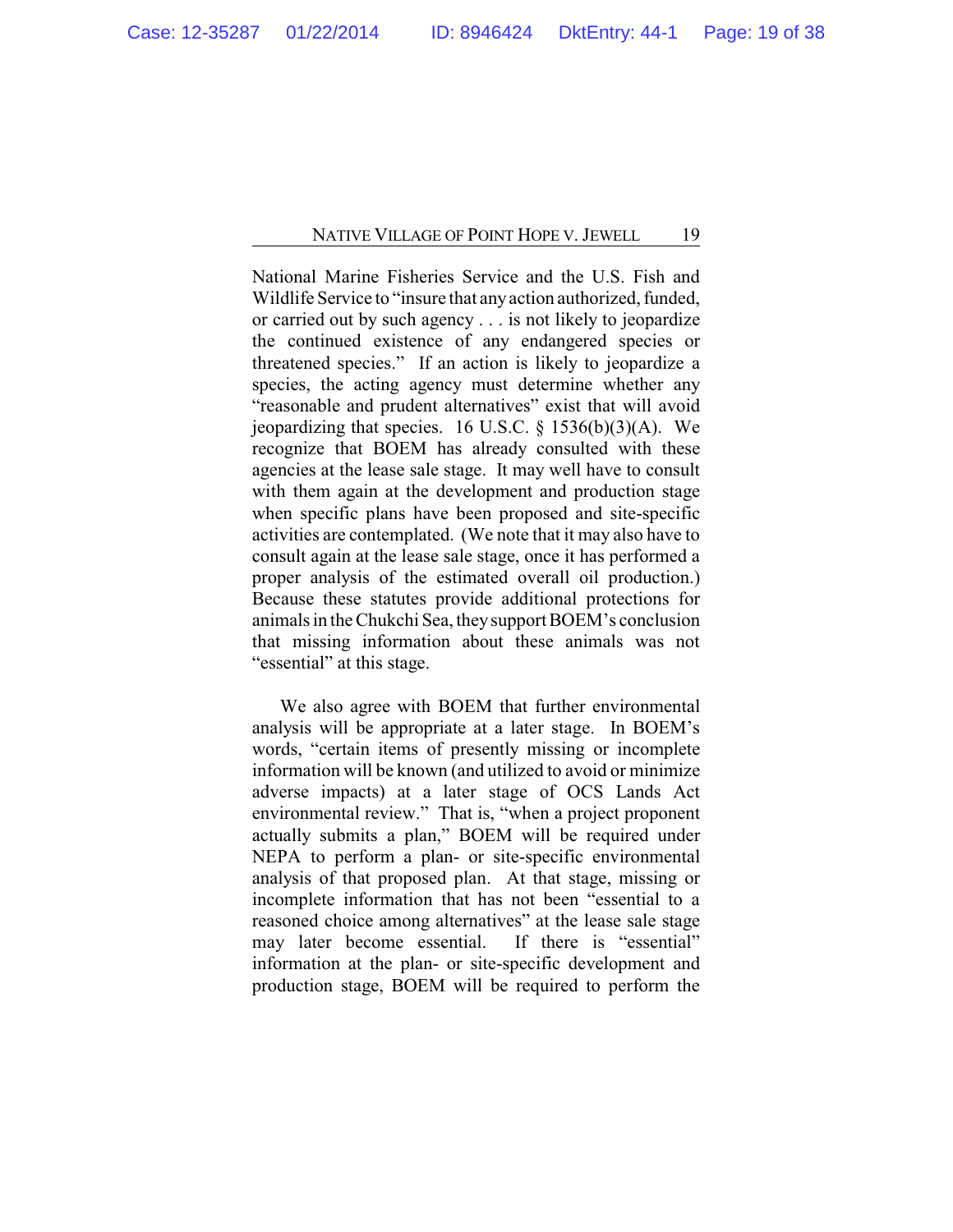National Marine Fisheries Service and the U.S. Fish and Wildlife Service to "insure that anyaction authorized, funded, or carried out by such agency . . . is not likely to jeopardize the continued existence of any endangered species or threatened species." If an action is likely to jeopardize a species, the acting agency must determine whether any "reasonable and prudent alternatives" exist that will avoid jeopardizing that species. 16 U.S.C.  $\S$  1536(b)(3)(A). We recognize that BOEM has already consulted with these agencies at the lease sale stage. It may well have to consult with them again at the development and production stage when specific plans have been proposed and site-specific activities are contemplated. (We note that it may also have to consult again at the lease sale stage, once it has performed a proper analysis of the estimated overall oil production.) Because these statutes provide additional protections for animals in the Chukchi Sea, theysupport BOEM's conclusion that missing information about these animals was not "essential" at this stage.

We also agree with BOEM that further environmental analysis will be appropriate at a later stage. In BOEM's words, "certain items of presently missing or incomplete information will be known (and utilized to avoid or minimize adverse impacts) at a later stage of OCS Lands Act environmental review." That is, "when a project proponent actually submits a plan," BOEM will be required under NEPA to perform a plan- or site-specific environmental analysis of that proposed plan. At that stage, missing or incomplete information that has not been "essential to a reasoned choice among alternatives" at the lease sale stage may later become essential. If there is "essential" information at the plan- or site-specific development and production stage, BOEM will be required to perform the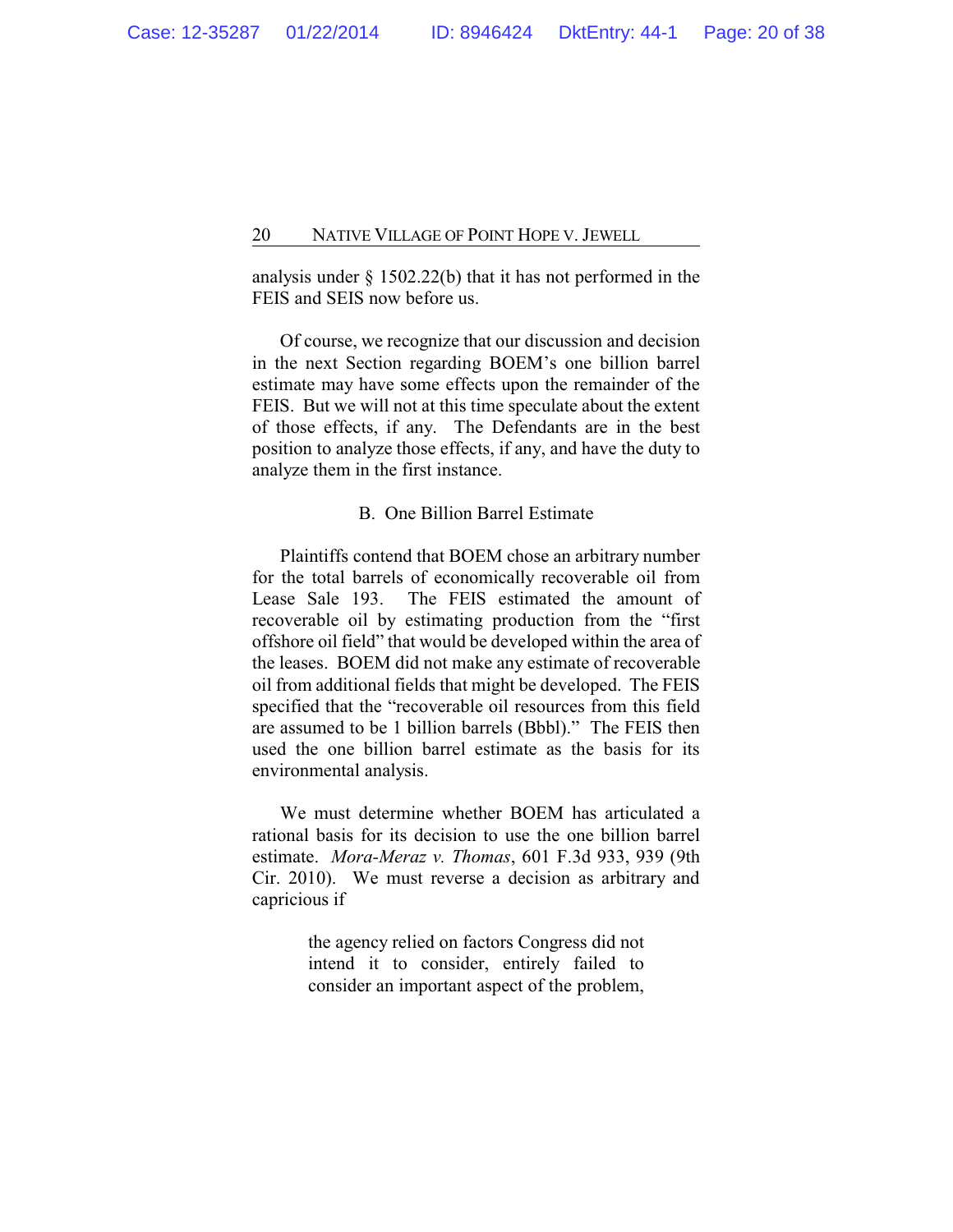analysis under § 1502.22(b) that it has not performed in the FEIS and SEIS now before us.

Of course, we recognize that our discussion and decision in the next Section regarding BOEM's one billion barrel estimate may have some effects upon the remainder of the FEIS. But we will not at this time speculate about the extent of those effects, if any. The Defendants are in the best position to analyze those effects, if any, and have the duty to analyze them in the first instance.

#### B. One Billion Barrel Estimate

Plaintiffs contend that BOEM chose an arbitrary number for the total barrels of economically recoverable oil from Lease Sale 193. The FEIS estimated the amount of recoverable oil by estimating production from the "first offshore oil field" that would be developed within the area of the leases. BOEM did not make any estimate of recoverable oil from additional fields that might be developed. The FEIS specified that the "recoverable oil resources from this field are assumed to be 1 billion barrels (Bbbl)." The FEIS then used the one billion barrel estimate as the basis for its environmental analysis.

We must determine whether BOEM has articulated a rational basis for its decision to use the one billion barrel estimate. *Mora-Meraz v. Thomas*, 601 F.3d 933, 939 (9th Cir. 2010). We must reverse a decision as arbitrary and capricious if

> the agency relied on factors Congress did not intend it to consider, entirely failed to consider an important aspect of the problem,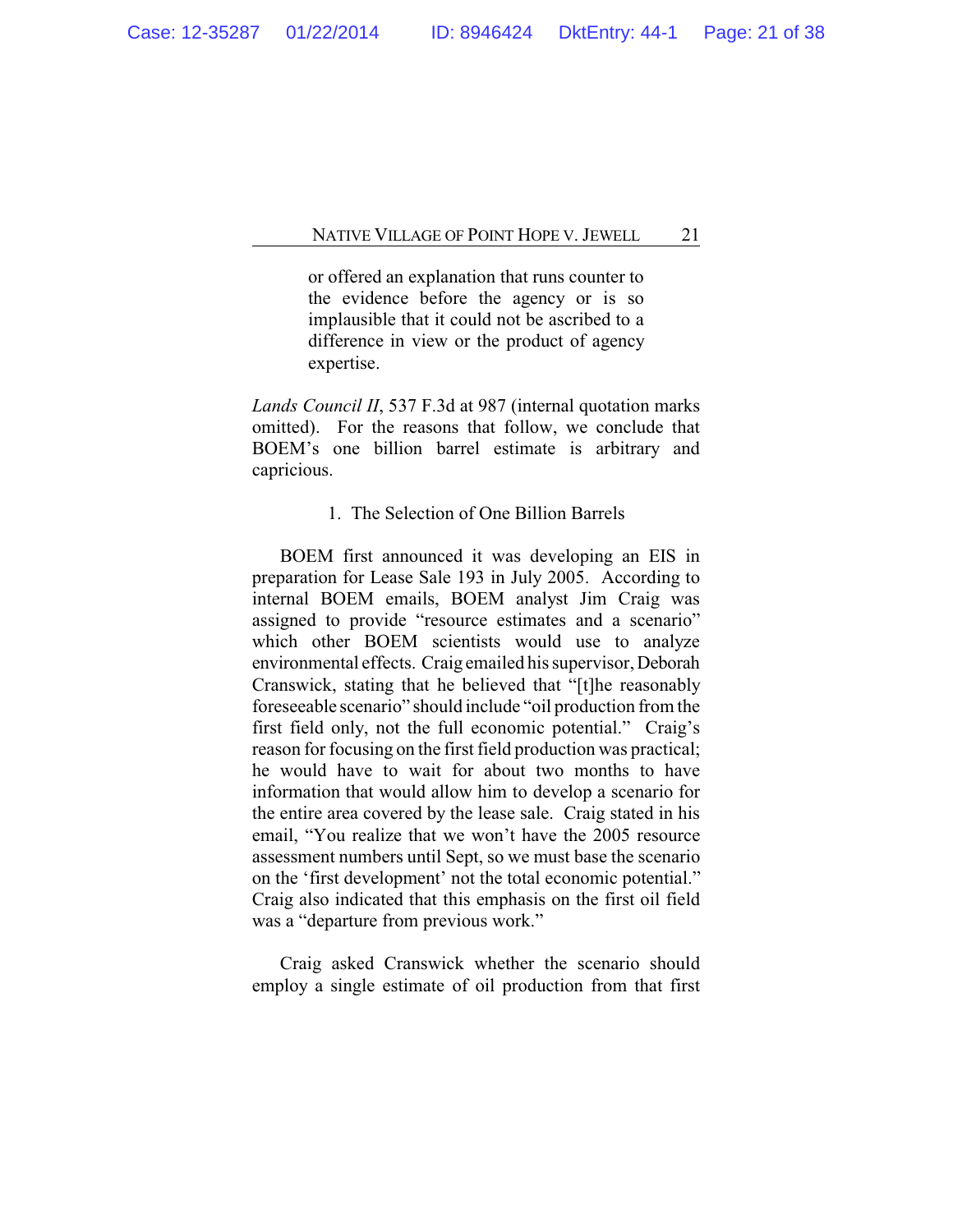or offered an explanation that runs counter to the evidence before the agency or is so implausible that it could not be ascribed to a difference in view or the product of agency expertise.

*Lands Council II*, 537 F.3d at 987 (internal quotation marks omitted). For the reasons that follow, we conclude that BOEM's one billion barrel estimate is arbitrary and capricious.

### 1. The Selection of One Billion Barrels

BOEM first announced it was developing an EIS in preparation for Lease Sale 193 in July 2005. According to internal BOEM emails, BOEM analyst Jim Craig was assigned to provide "resource estimates and a scenario" which other BOEM scientists would use to analyze environmental effects. Craig emailed his supervisor, Deborah Cranswick, stating that he believed that "[t]he reasonably foreseeable scenario" should include "oil production from the first field only, not the full economic potential." Craig's reason for focusing on the first field production was practical; he would have to wait for about two months to have information that would allow him to develop a scenario for the entire area covered by the lease sale. Craig stated in his email, "You realize that we won't have the 2005 resource assessment numbers until Sept, so we must base the scenario on the 'first development' not the total economic potential." Craig also indicated that this emphasis on the first oil field was a "departure from previous work."

Craig asked Cranswick whether the scenario should employ a single estimate of oil production from that first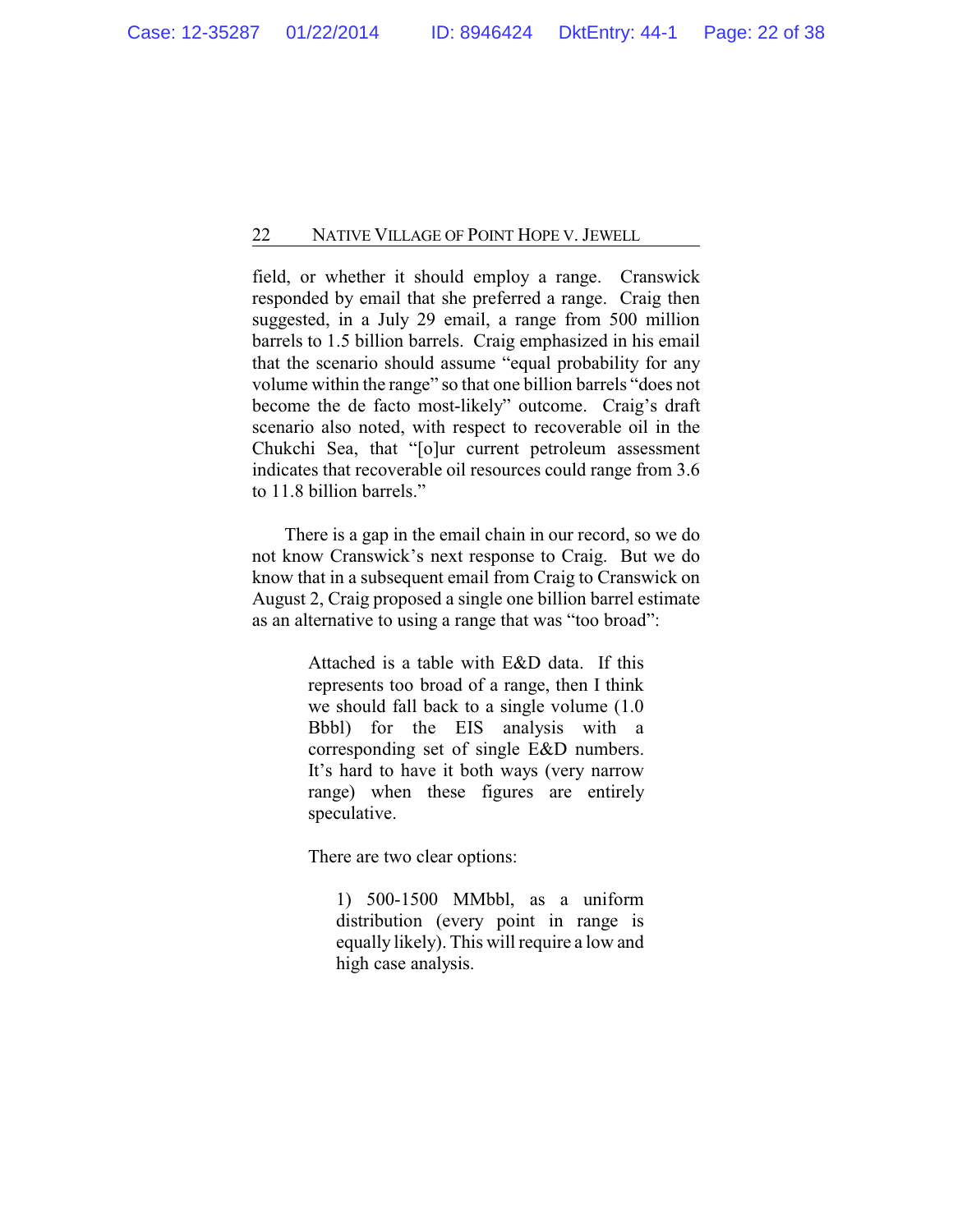field, or whether it should employ a range. Cranswick responded by email that she preferred a range. Craig then suggested, in a July 29 email, a range from 500 million barrels to 1.5 billion barrels. Craig emphasized in his email that the scenario should assume "equal probability for any volume within the range" so that one billion barrels "does not become the de facto most-likely" outcome. Craig's draft scenario also noted, with respect to recoverable oil in the Chukchi Sea, that "[o]ur current petroleum assessment indicates that recoverable oil resources could range from 3.6 to 11.8 billion barrels."

There is a gap in the email chain in our record, so we do not know Cranswick's next response to Craig. But we do know that in a subsequent email from Craig to Cranswick on August 2, Craig proposed a single one billion barrel estimate as an alternative to using a range that was "too broad":

> Attached is a table with E&D data. If this represents too broad of a range, then I think we should fall back to a single volume (1.0 Bbbl) for the EIS analysis with a corresponding set of single E&D numbers. It's hard to have it both ways (very narrow range) when these figures are entirely speculative.

There are two clear options:

1) 500-1500 MMbbl, as a uniform distribution (every point in range is equally likely). This will require a low and high case analysis.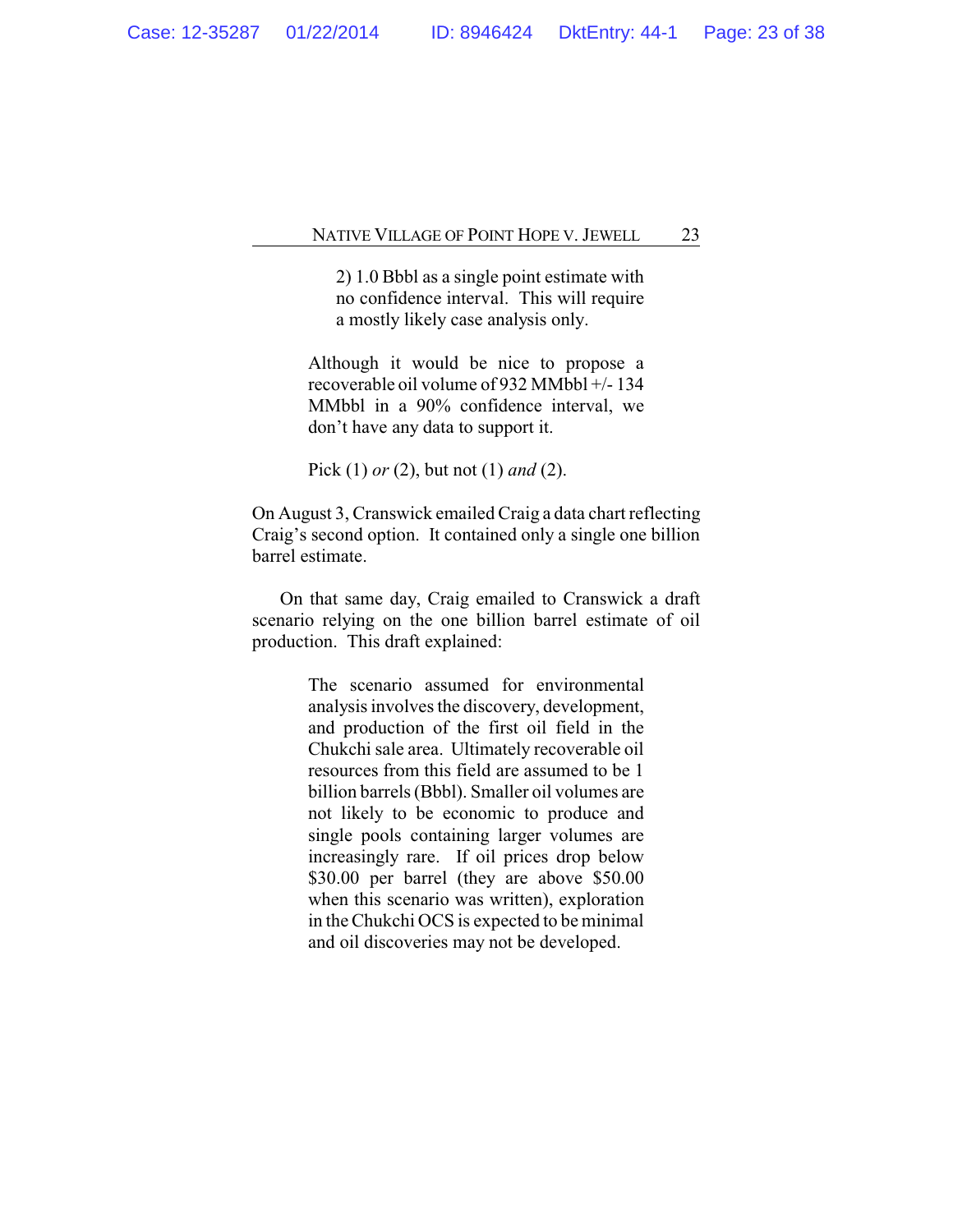2) 1.0 Bbbl as a single point estimate with no confidence interval. This will require a mostly likely case analysis only.

Although it would be nice to propose a recoverable oil volume of 932 MMbbl +/- 134 MMbbl in a 90% confidence interval, we don't have any data to support it.

Pick (1) *or* (2), but not (1) *and* (2).

On August 3, Cranswick emailed Craig a data chart reflecting Craig's second option. It contained only a single one billion barrel estimate.

On that same day, Craig emailed to Cranswick a draft scenario relying on the one billion barrel estimate of oil production. This draft explained:

> The scenario assumed for environmental analysis involves the discovery, development, and production of the first oil field in the Chukchi sale area. Ultimately recoverable oil resources from this field are assumed to be 1 billion barrels (Bbbl). Smaller oil volumes are not likely to be economic to produce and single pools containing larger volumes are increasingly rare. If oil prices drop below \$30.00 per barrel (they are above \$50.00 when this scenario was written), exploration in the Chukchi OCS is expected to be minimal and oil discoveries may not be developed.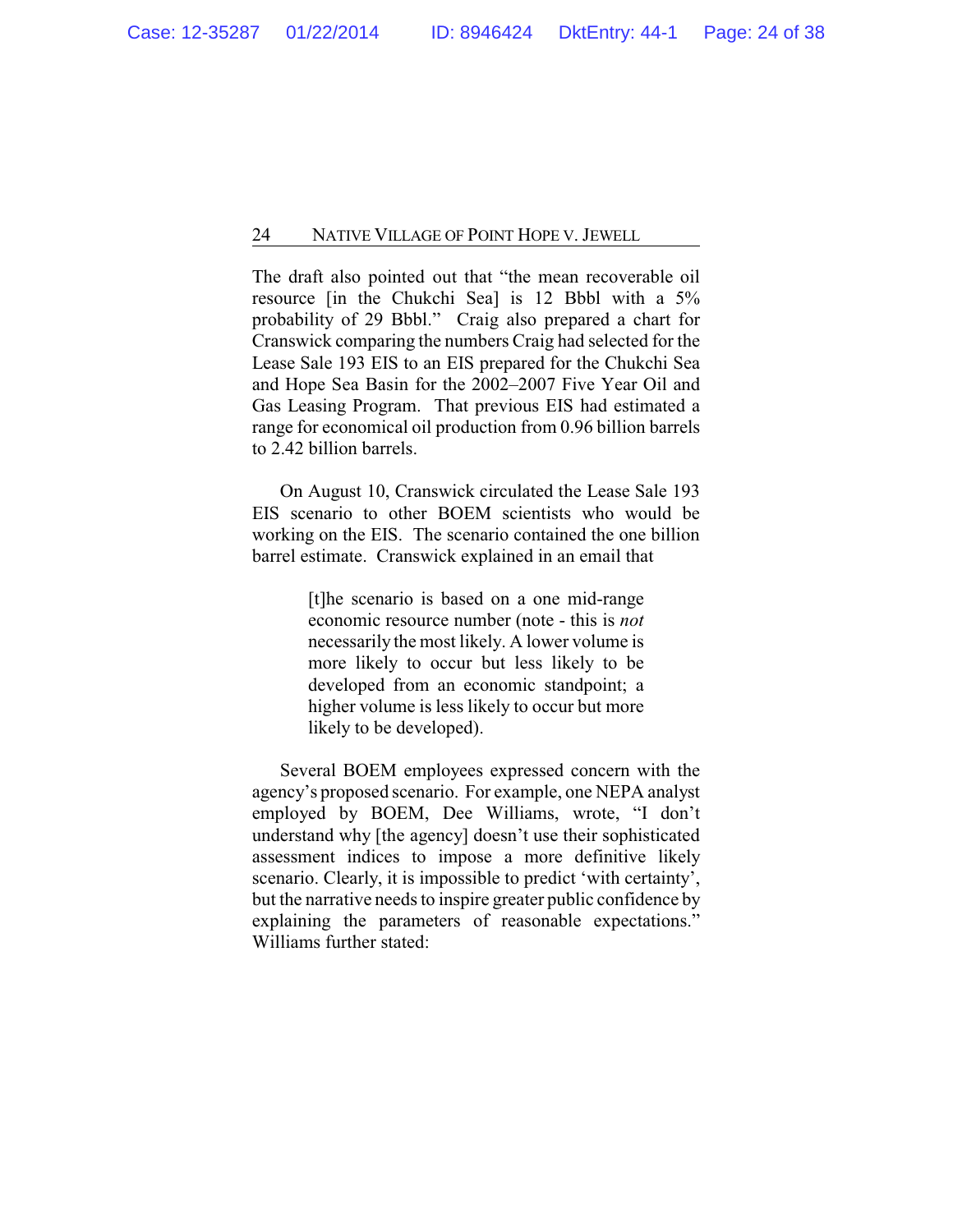The draft also pointed out that "the mean recoverable oil resource [in the Chukchi Sea] is 12 Bbbl with a 5% probability of 29 Bbbl." Craig also prepared a chart for Cranswick comparing the numbers Craig had selected for the Lease Sale 193 EIS to an EIS prepared for the Chukchi Sea and Hope Sea Basin for the 2002–2007 Five Year Oil and Gas Leasing Program. That previous EIS had estimated a range for economical oil production from 0.96 billion barrels to 2.42 billion barrels.

On August 10, Cranswick circulated the Lease Sale 193 EIS scenario to other BOEM scientists who would be working on the EIS. The scenario contained the one billion barrel estimate. Cranswick explained in an email that

> [t]he scenario is based on a one mid-range economic resource number (note - this is *not* necessarily the most likely. A lower volume is more likely to occur but less likely to be developed from an economic standpoint; a higher volume is less likely to occur but more likely to be developed).

Several BOEM employees expressed concern with the agency's proposed scenario. For example, one NEPA analyst employed by BOEM, Dee Williams, wrote, "I don't understand why [the agency] doesn't use their sophisticated assessment indices to impose a more definitive likely scenario. Clearly, it is impossible to predict 'with certainty', but the narrative needs to inspire greater public confidence by explaining the parameters of reasonable expectations." Williams further stated: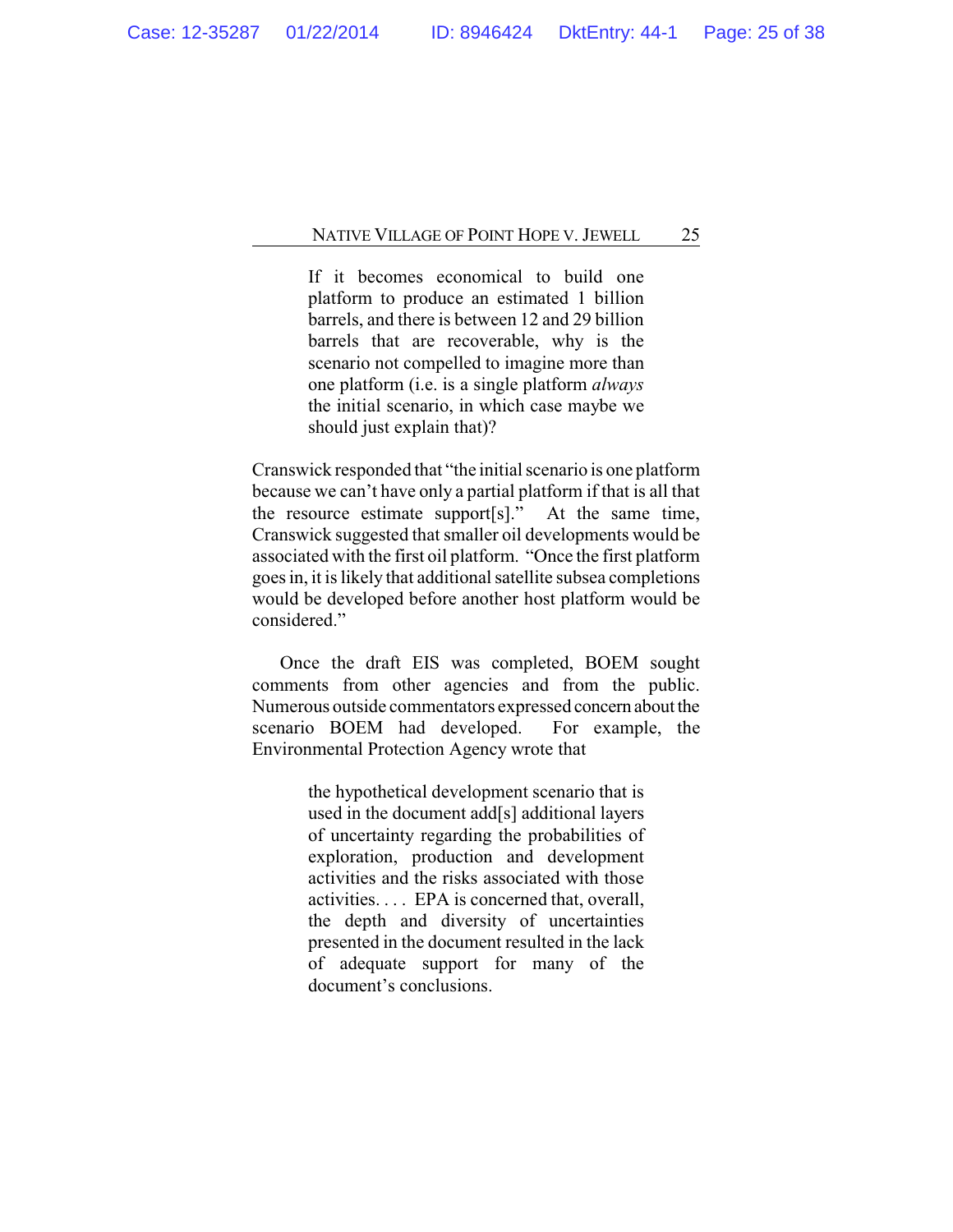If it becomes economical to build one platform to produce an estimated 1 billion barrels, and there is between 12 and 29 billion barrels that are recoverable, why is the scenario not compelled to imagine more than one platform (i.e. is a single platform *always* the initial scenario, in which case maybe we should just explain that)?

Cranswick responded that "the initial scenario is one platform because we can't have only a partial platform if that is all that the resource estimate support[s]." At the same time, Cranswick suggested that smaller oil developments would be associated with the first oil platform. "Once the first platform goes in, it is likely that additional satellite subsea completions would be developed before another host platform would be considered."

Once the draft EIS was completed, BOEM sought comments from other agencies and from the public. Numerous outside commentators expressed concern aboutthe scenario BOEM had developed. For example, the Environmental Protection Agency wrote that

> the hypothetical development scenario that is used in the document add[s] additional layers of uncertainty regarding the probabilities of exploration, production and development activities and the risks associated with those activities. . . . EPA is concerned that, overall, the depth and diversity of uncertainties presented in the document resulted in the lack of adequate support for many of the document's conclusions.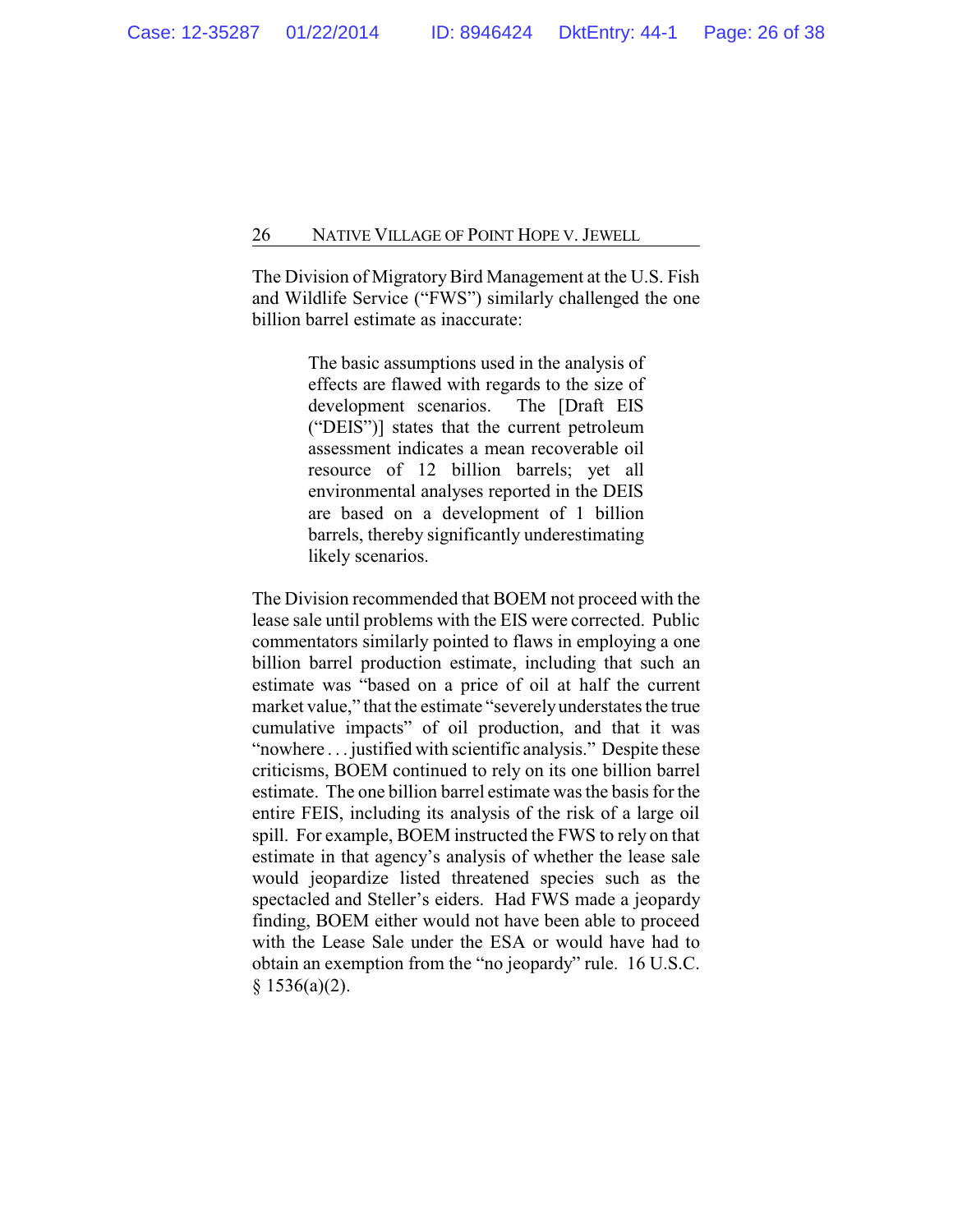The Division of Migratory Bird Management at the U.S. Fish and Wildlife Service ("FWS") similarly challenged the one billion barrel estimate as inaccurate:

> The basic assumptions used in the analysis of effects are flawed with regards to the size of development scenarios. The [Draft EIS ("DEIS")] states that the current petroleum assessment indicates a mean recoverable oil resource of 12 billion barrels; yet all environmental analyses reported in the DEIS are based on a development of 1 billion barrels, thereby significantly underestimating likely scenarios.

The Division recommended that BOEM not proceed with the lease sale until problems with the EIS were corrected. Public commentators similarly pointed to flaws in employing a one billion barrel production estimate, including that such an estimate was "based on a price of oil at half the current market value," that the estimate "severelyunderstates the true cumulative impacts" of oil production, and that it was "nowhere . . . justified with scientific analysis." Despite these criticisms, BOEM continued to rely on its one billion barrel estimate. The one billion barrel estimate was the basis for the entire FEIS, including its analysis of the risk of a large oil spill. For example, BOEM instructed the FWS to rely on that estimate in that agency's analysis of whether the lease sale would jeopardize listed threatened species such as the spectacled and Steller's eiders. Had FWS made a jeopardy finding, BOEM either would not have been able to proceed with the Lease Sale under the ESA or would have had to obtain an exemption from the "no jeopardy" rule. 16 U.S.C.  $§ 1536(a)(2).$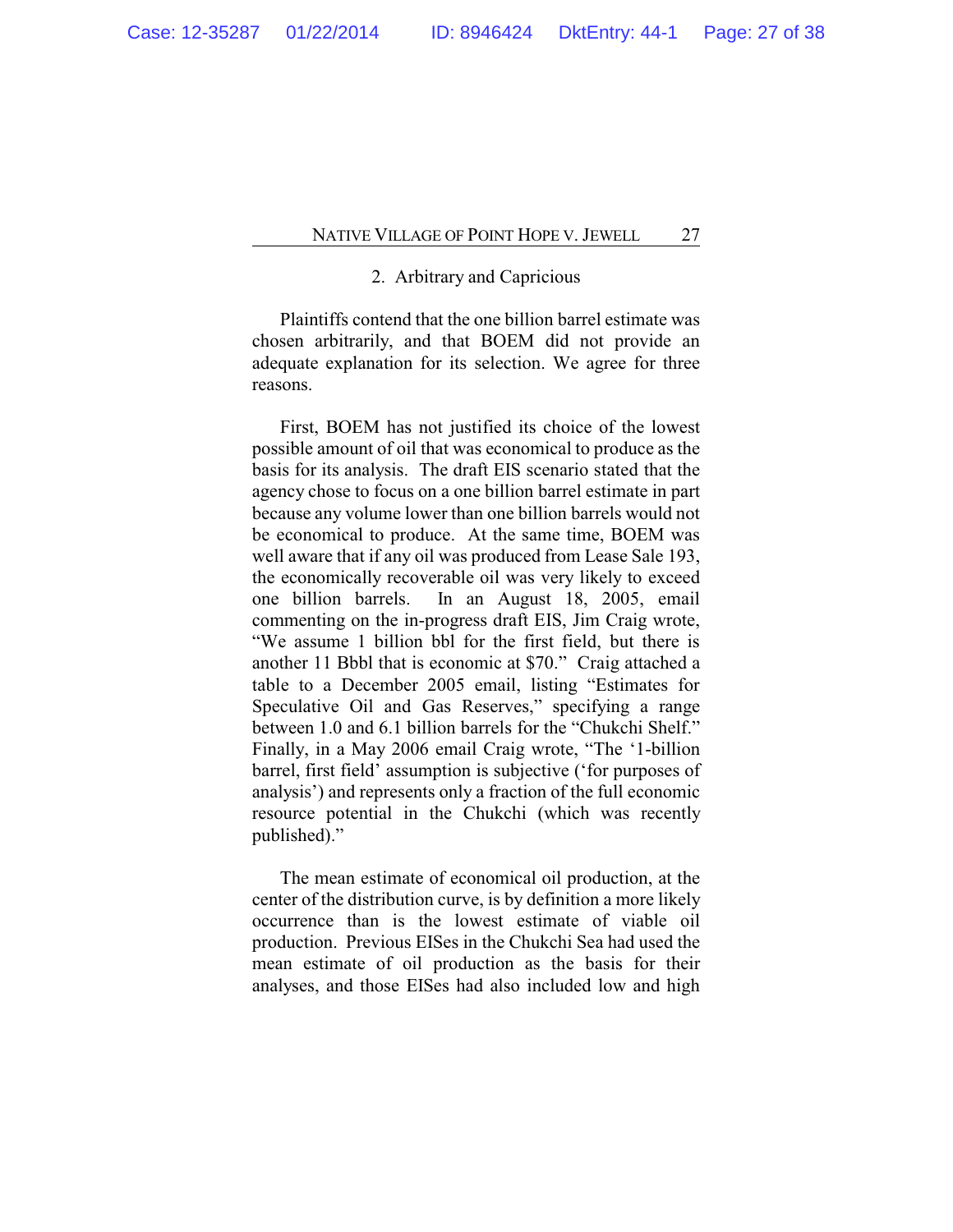# 2. Arbitrary and Capricious

Plaintiffs contend that the one billion barrel estimate was chosen arbitrarily, and that BOEM did not provide an adequate explanation for its selection. We agree for three reasons.

First, BOEM has not justified its choice of the lowest possible amount of oil that was economical to produce as the basis for its analysis. The draft EIS scenario stated that the agency chose to focus on a one billion barrel estimate in part because any volume lower than one billion barrels would not be economical to produce. At the same time, BOEM was well aware that if any oil was produced from Lease Sale 193, the economically recoverable oil was very likely to exceed one billion barrels. In an August 18, 2005, email commenting on the in-progress draft EIS, Jim Craig wrote, "We assume 1 billion bbl for the first field, but there is another 11 Bbbl that is economic at \$70." Craig attached a table to a December 2005 email, listing "Estimates for Speculative Oil and Gas Reserves," specifying a range between 1.0 and 6.1 billion barrels for the "Chukchi Shelf." Finally, in a May 2006 email Craig wrote, "The '1-billion barrel, first field' assumption is subjective ('for purposes of analysis') and represents only a fraction of the full economic resource potential in the Chukchi (which was recently published)."

The mean estimate of economical oil production, at the center of the distribution curve, is by definition a more likely occurrence than is the lowest estimate of viable oil production. Previous EISes in the Chukchi Sea had used the mean estimate of oil production as the basis for their analyses, and those EISes had also included low and high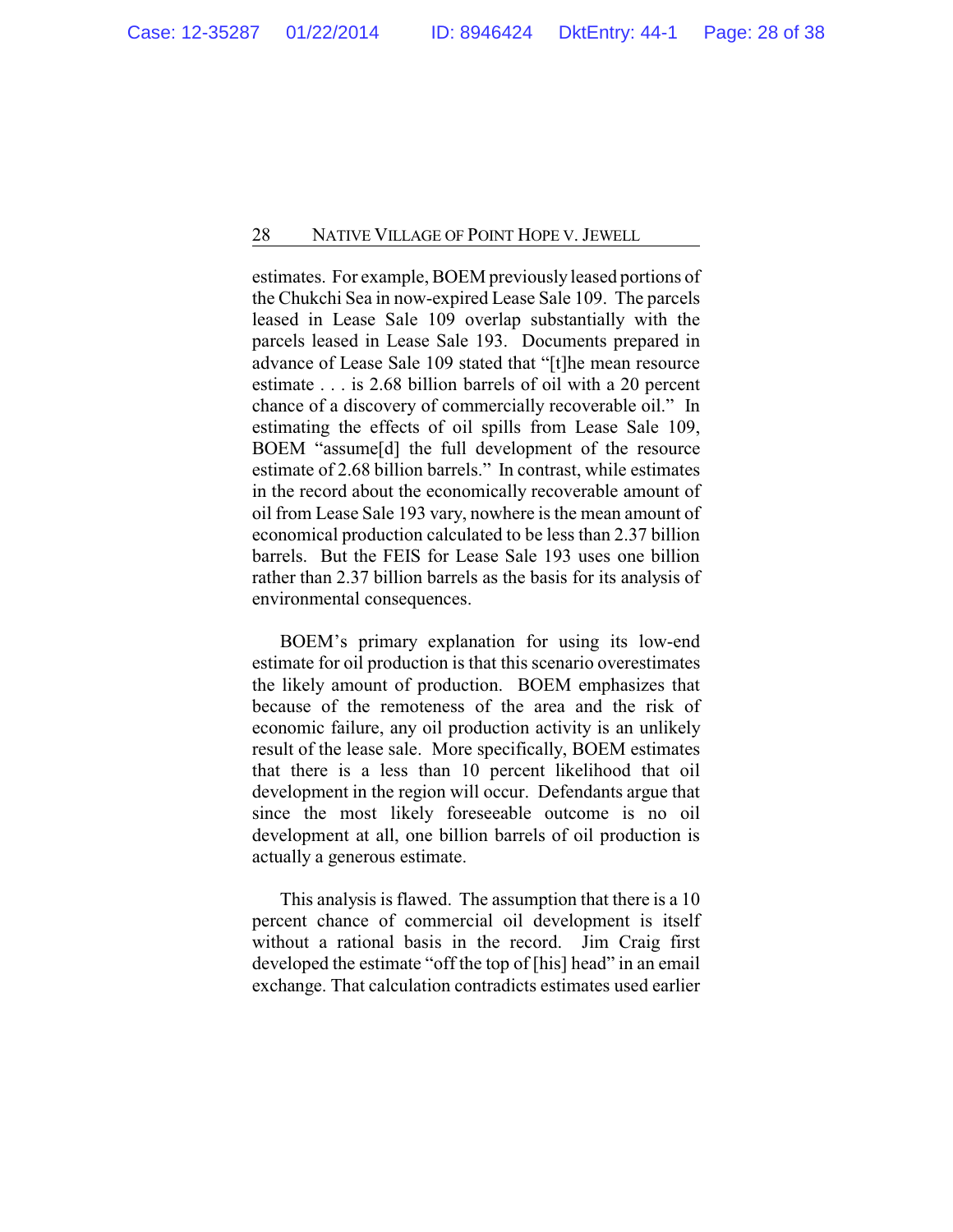estimates. For example, BOEM previously leased portions of the Chukchi Sea in now-expired Lease Sale 109. The parcels leased in Lease Sale 109 overlap substantially with the parcels leased in Lease Sale 193. Documents prepared in advance of Lease Sale 109 stated that "[t]he mean resource estimate . . . is 2.68 billion barrels of oil with a 20 percent chance of a discovery of commercially recoverable oil." In estimating the effects of oil spills from Lease Sale 109, BOEM "assume[d] the full development of the resource estimate of 2.68 billion barrels." In contrast, while estimates in the record about the economically recoverable amount of oil from Lease Sale 193 vary, nowhere is the mean amount of economical production calculated to be less than 2.37 billion barrels. But the FEIS for Lease Sale 193 uses one billion rather than 2.37 billion barrels as the basis for its analysis of environmental consequences.

BOEM's primary explanation for using its low-end estimate for oil production is that this scenario overestimates the likely amount of production. BOEM emphasizes that because of the remoteness of the area and the risk of economic failure, any oil production activity is an unlikely result of the lease sale. More specifically, BOEM estimates that there is a less than 10 percent likelihood that oil development in the region will occur. Defendants argue that since the most likely foreseeable outcome is no oil development at all, one billion barrels of oil production is actually a generous estimate.

This analysis is flawed. The assumption that there is a 10 percent chance of commercial oil development is itself without a rational basis in the record. Jim Craig first developed the estimate "off the top of [his] head" in an email exchange. That calculation contradicts estimates used earlier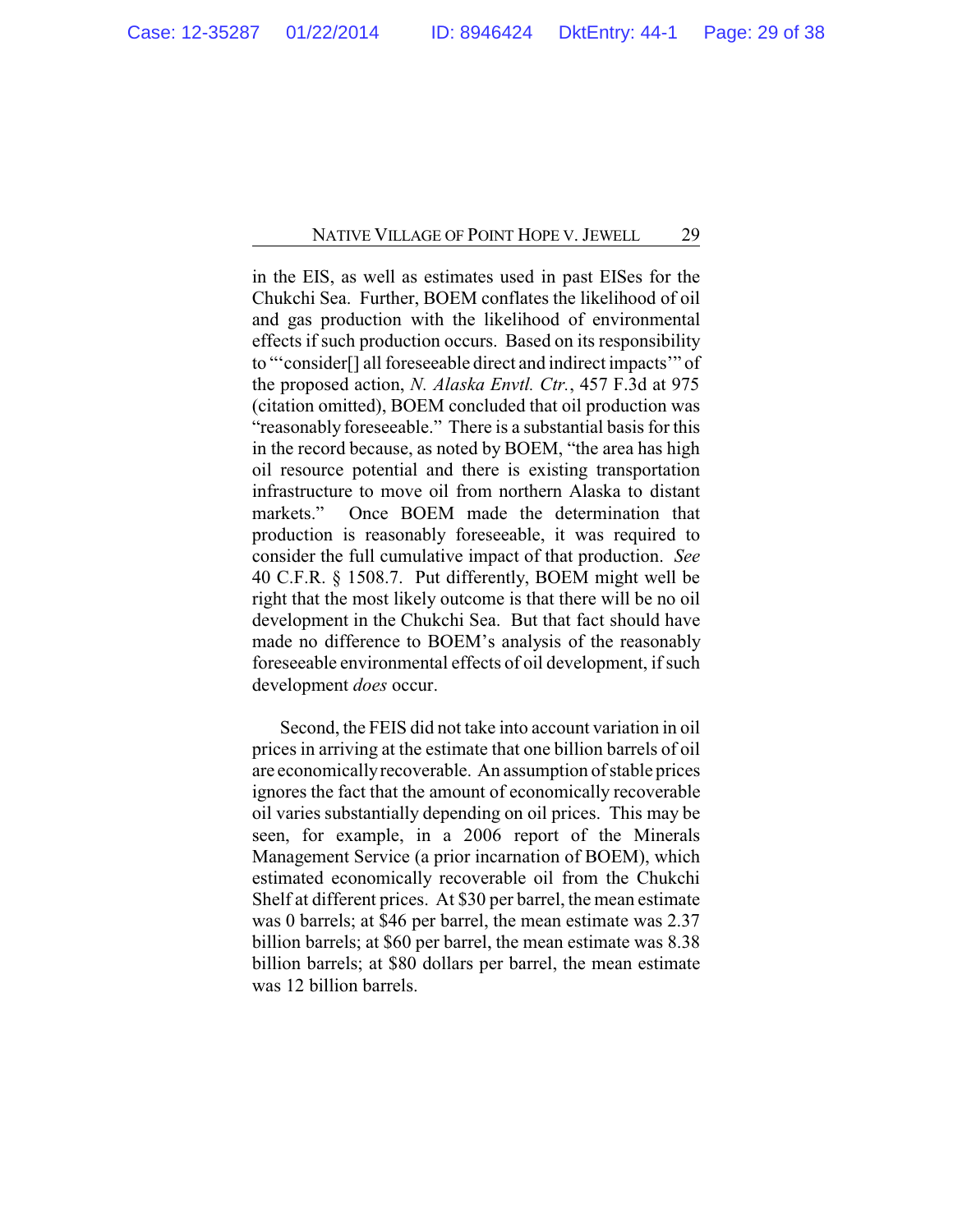in the EIS, as well as estimates used in past EISes for the Chukchi Sea. Further, BOEM conflates the likelihood of oil and gas production with the likelihood of environmental effects if such production occurs. Based on its responsibility to "'consider[] all foreseeable direct and indirect impacts'" of the proposed action, *N. Alaska Envtl. Ctr.*, 457 F.3d at 975 (citation omitted), BOEM concluded that oil production was "reasonably foreseeable." There is a substantial basis for this in the record because, as noted by BOEM, "the area has high oil resource potential and there is existing transportation infrastructure to move oil from northern Alaska to distant markets." Once BOEM made the determination that production is reasonably foreseeable, it was required to consider the full cumulative impact of that production. *See* 40 C.F.R. § 1508.7. Put differently, BOEM might well be right that the most likely outcome is that there will be no oil development in the Chukchi Sea. But that fact should have made no difference to BOEM's analysis of the reasonably foreseeable environmental effects of oil development, if such development *does* occur.

Second, the FEIS did not take into account variation in oil prices in arriving at the estimate that one billion barrels of oil are economicallyrecoverable. An assumption of stable prices ignores the fact that the amount of economically recoverable oil varies substantially depending on oil prices. This may be seen, for example, in a 2006 report of the Minerals Management Service (a prior incarnation of BOEM), which estimated economically recoverable oil from the Chukchi Shelf at different prices. At \$30 per barrel, the mean estimate was 0 barrels; at \$46 per barrel, the mean estimate was 2.37 billion barrels; at \$60 per barrel, the mean estimate was 8.38 billion barrels; at \$80 dollars per barrel, the mean estimate was 12 billion barrels.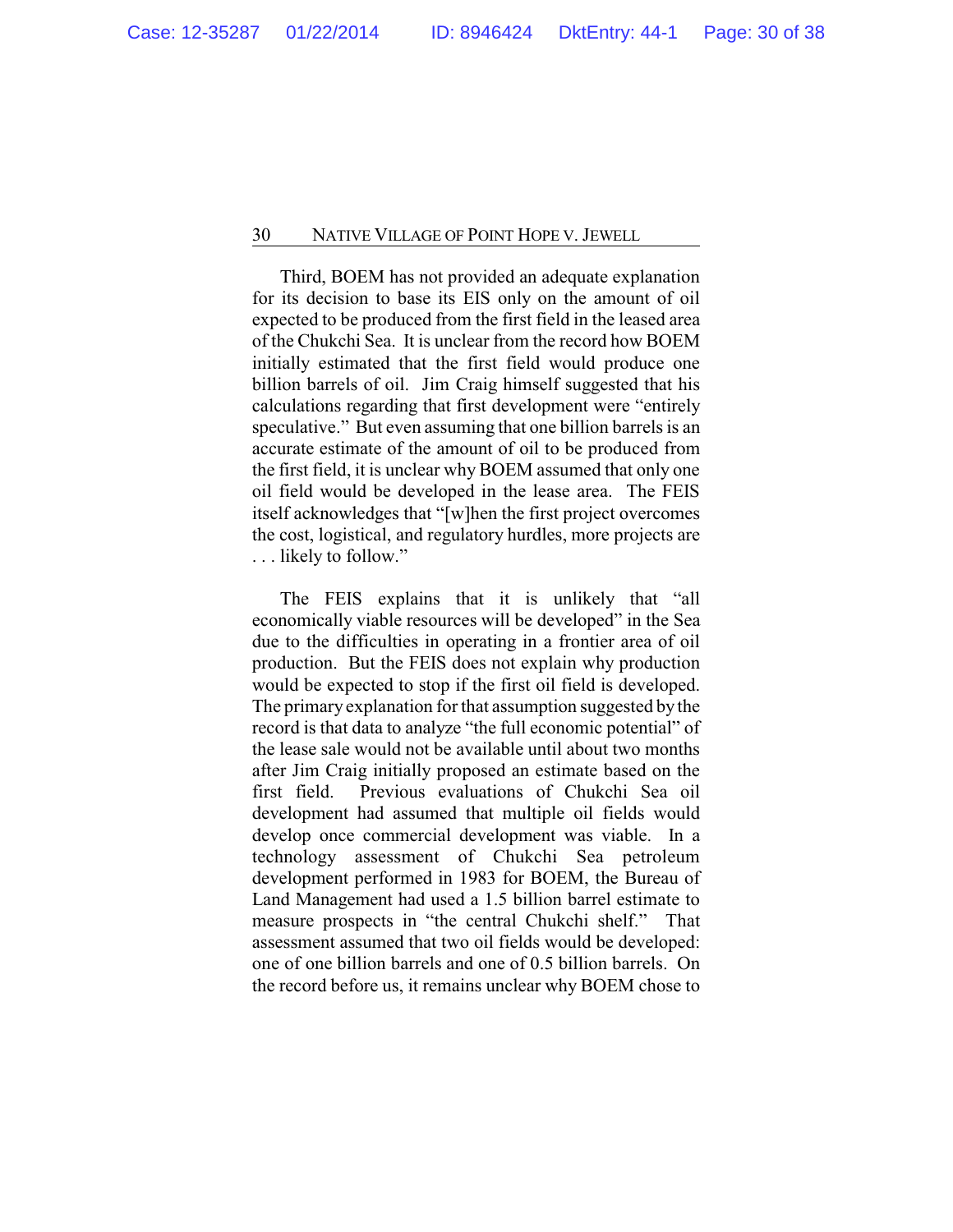Third, BOEM has not provided an adequate explanation for its decision to base its EIS only on the amount of oil expected to be produced from the first field in the leased area of the Chukchi Sea. It is unclear from the record how BOEM initially estimated that the first field would produce one billion barrels of oil. Jim Craig himself suggested that his calculations regarding that first development were "entirely speculative." But even assuming that one billion barrels is an accurate estimate of the amount of oil to be produced from the first field, it is unclear why BOEM assumed that only one oil field would be developed in the lease area. The FEIS itself acknowledges that "[w]hen the first project overcomes the cost, logistical, and regulatory hurdles, more projects are . . . likely to follow."

The FEIS explains that it is unlikely that "all economically viable resources will be developed" in the Sea due to the difficulties in operating in a frontier area of oil production. But the FEIS does not explain why production would be expected to stop if the first oil field is developed. The primary explanation for that assumption suggested by the record is that data to analyze "the full economic potential" of the lease sale would not be available until about two months after Jim Craig initially proposed an estimate based on the first field. Previous evaluations of Chukchi Sea oil development had assumed that multiple oil fields would develop once commercial development was viable. In a technology assessment of Chukchi Sea petroleum development performed in 1983 for BOEM, the Bureau of Land Management had used a 1.5 billion barrel estimate to measure prospects in "the central Chukchi shelf." That assessment assumed that two oil fields would be developed: one of one billion barrels and one of 0.5 billion barrels. On the record before us, it remains unclear why BOEM chose to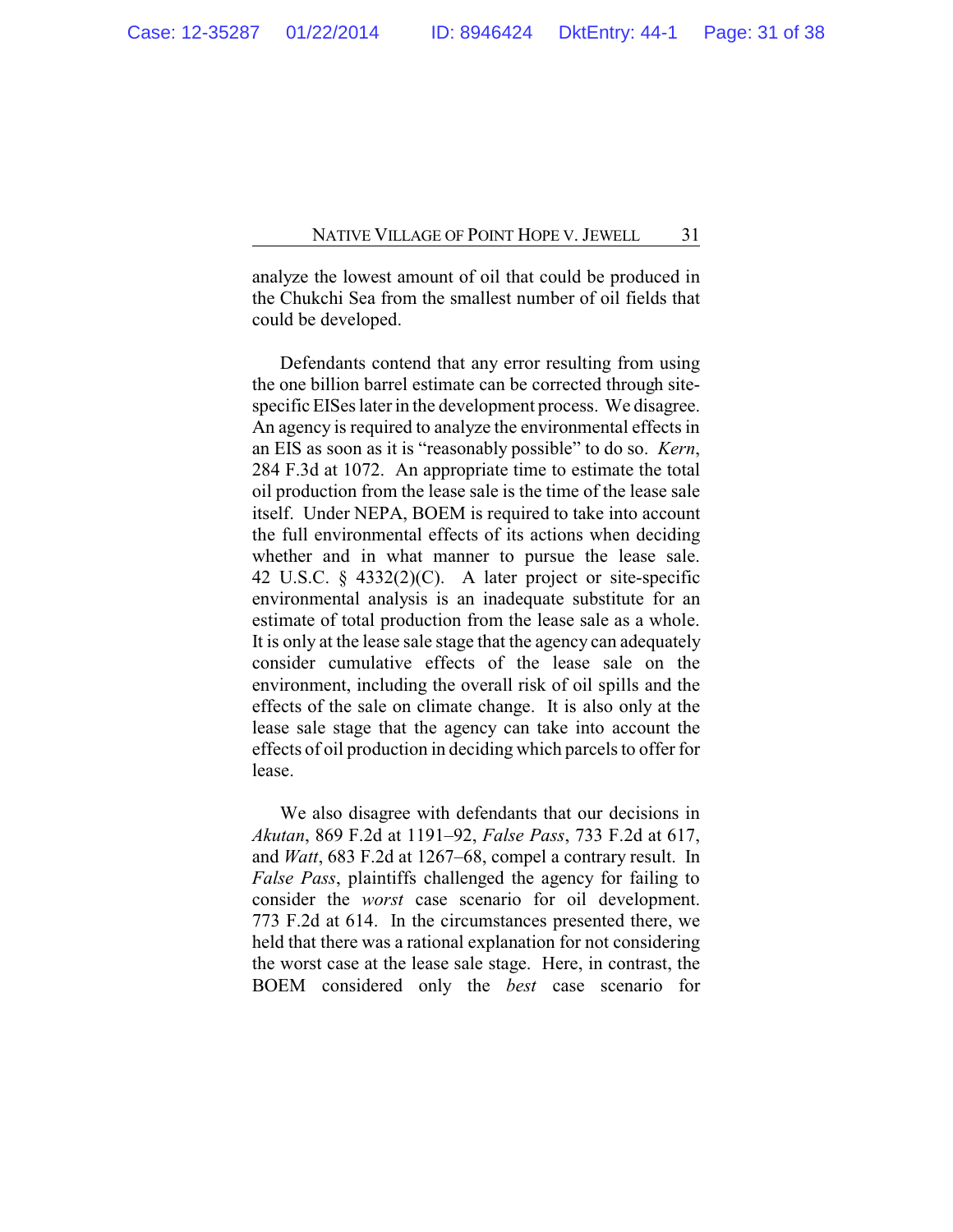analyze the lowest amount of oil that could be produced in the Chukchi Sea from the smallest number of oil fields that could be developed.

Defendants contend that any error resulting from using the one billion barrel estimate can be corrected through sitespecific EISes later in the development process. We disagree. An agency is required to analyze the environmental effects in an EIS as soon as it is "reasonably possible" to do so. *Kern*, 284 F.3d at 1072. An appropriate time to estimate the total oil production from the lease sale is the time of the lease sale itself. Under NEPA, BOEM is required to take into account the full environmental effects of its actions when deciding whether and in what manner to pursue the lease sale. 42 U.S.C. § 4332(2)(C). A later project or site-specific environmental analysis is an inadequate substitute for an estimate of total production from the lease sale as a whole. It is only at the lease sale stage that the agency can adequately consider cumulative effects of the lease sale on the environment, including the overall risk of oil spills and the effects of the sale on climate change. It is also only at the lease sale stage that the agency can take into account the effects of oil production in deciding which parcels to offer for lease.

We also disagree with defendants that our decisions in *Akutan*, 869 F.2d at 1191–92, *False Pass*, 733 F.2d at 617, and *Watt*, 683 F.2d at 1267–68, compel a contrary result. In *False Pass*, plaintiffs challenged the agency for failing to consider the *worst* case scenario for oil development. 773 F.2d at 614. In the circumstances presented there, we held that there was a rational explanation for not considering the worst case at the lease sale stage. Here, in contrast, the BOEM considered only the *best* case scenario for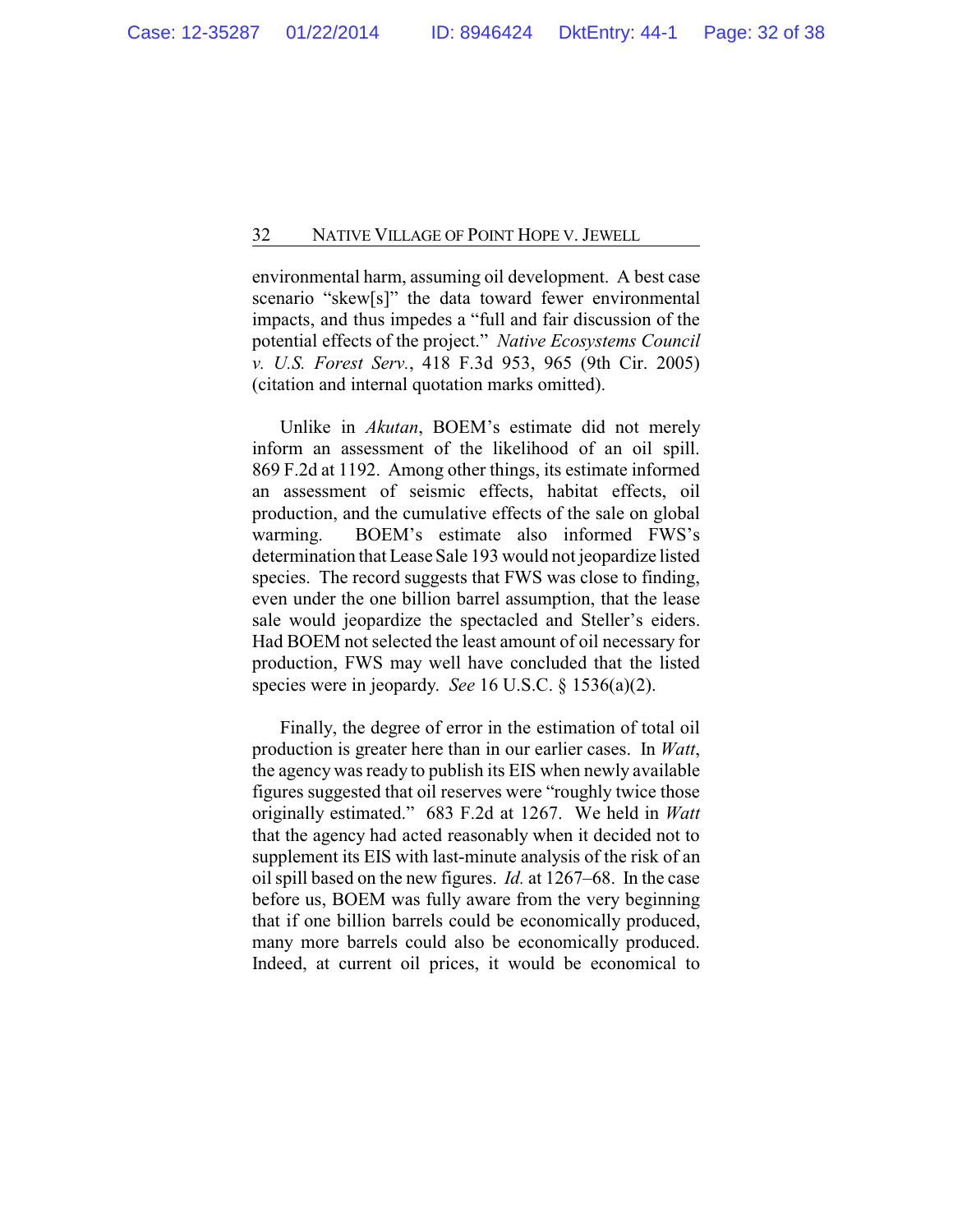environmental harm, assuming oil development. A best case scenario "skew[s]" the data toward fewer environmental impacts, and thus impedes a "full and fair discussion of the potential effects of the project." *Native Ecosystems Council v. U.S. Forest Serv.*, 418 F.3d 953, 965 (9th Cir. 2005) (citation and internal quotation marks omitted).

Unlike in *Akutan*, BOEM's estimate did not merely inform an assessment of the likelihood of an oil spill. 869 F.2d at 1192. Among other things, its estimate informed an assessment of seismic effects, habitat effects, oil production, and the cumulative effects of the sale on global warming. BOEM's estimate also informed FWS's determination that Lease Sale 193 would not jeopardize listed species. The record suggests that FWS was close to finding, even under the one billion barrel assumption, that the lease sale would jeopardize the spectacled and Steller's eiders. Had BOEM not selected the least amount of oil necessary for production, FWS may well have concluded that the listed species were in jeopardy. *See* 16 U.S.C. § 1536(a)(2).

Finally, the degree of error in the estimation of total oil production is greater here than in our earlier cases. In *Watt*, the agency was ready to publish its EIS when newly available figures suggested that oil reserves were "roughly twice those originally estimated." 683 F.2d at 1267. We held in *Watt* that the agency had acted reasonably when it decided not to supplement its EIS with last-minute analysis of the risk of an oil spill based on the new figures. *Id.* at 1267–68. In the case before us, BOEM was fully aware from the very beginning that if one billion barrels could be economically produced, many more barrels could also be economically produced. Indeed, at current oil prices, it would be economical to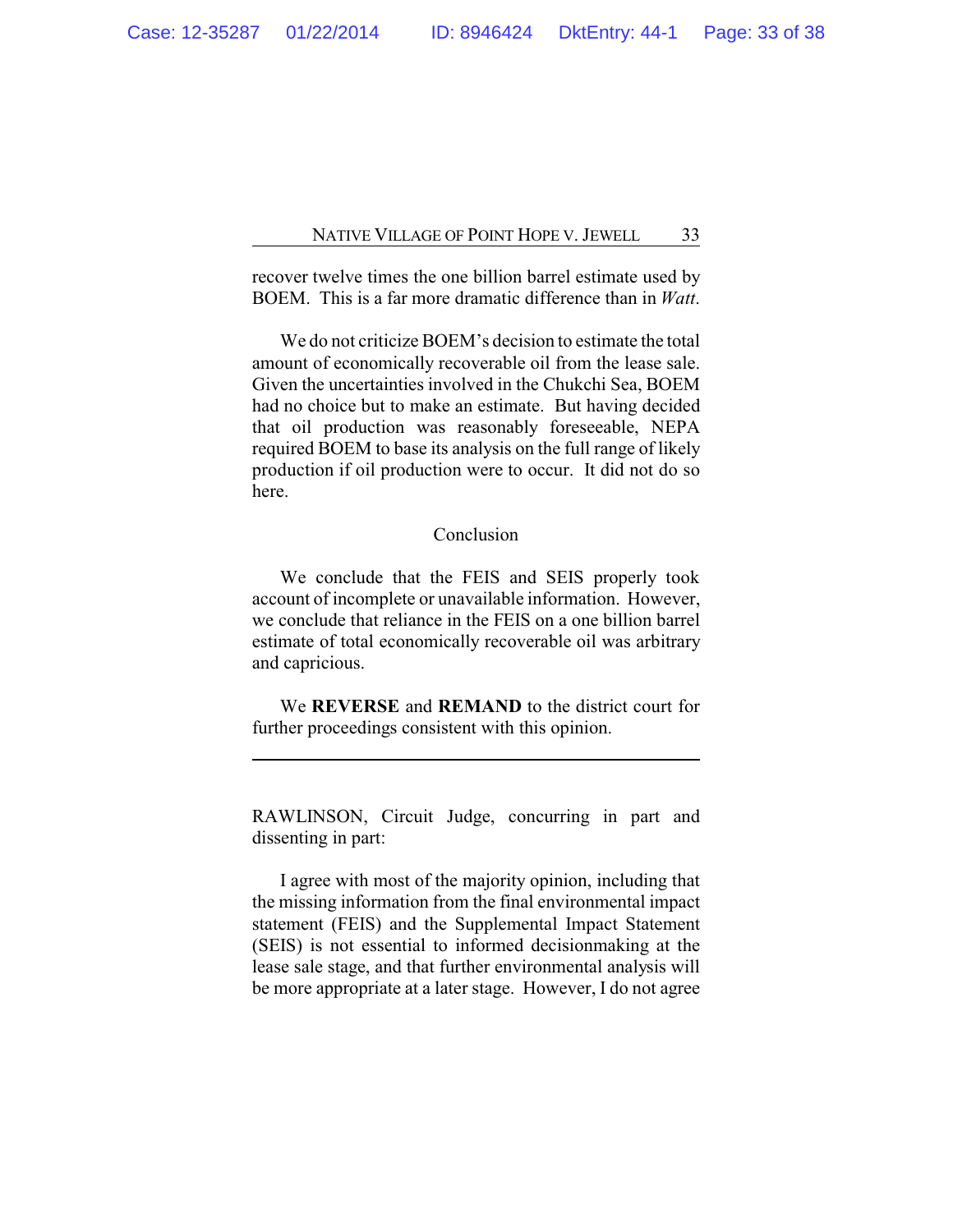recover twelve times the one billion barrel estimate used by BOEM. This is a far more dramatic difference than in *Watt*.

We do not criticize BOEM's decision to estimate the total amount of economically recoverable oil from the lease sale. Given the uncertainties involved in the Chukchi Sea, BOEM had no choice but to make an estimate. But having decided that oil production was reasonably foreseeable, NEPA required BOEM to base its analysis on the full range of likely production if oil production were to occur. It did not do so here.

# Conclusion

We conclude that the FEIS and SEIS properly took account of incomplete or unavailable information. However, we conclude that reliance in the FEIS on a one billion barrel estimate of total economically recoverable oil was arbitrary and capricious.

We **REVERSE** and **REMAND** to the district court for further proceedings consistent with this opinion.

RAWLINSON, Circuit Judge, concurring in part and dissenting in part:

I agree with most of the majority opinion, including that the missing information from the final environmental impact statement (FEIS) and the Supplemental Impact Statement (SEIS) is not essential to informed decisionmaking at the lease sale stage, and that further environmental analysis will be more appropriate at a later stage. However, I do not agree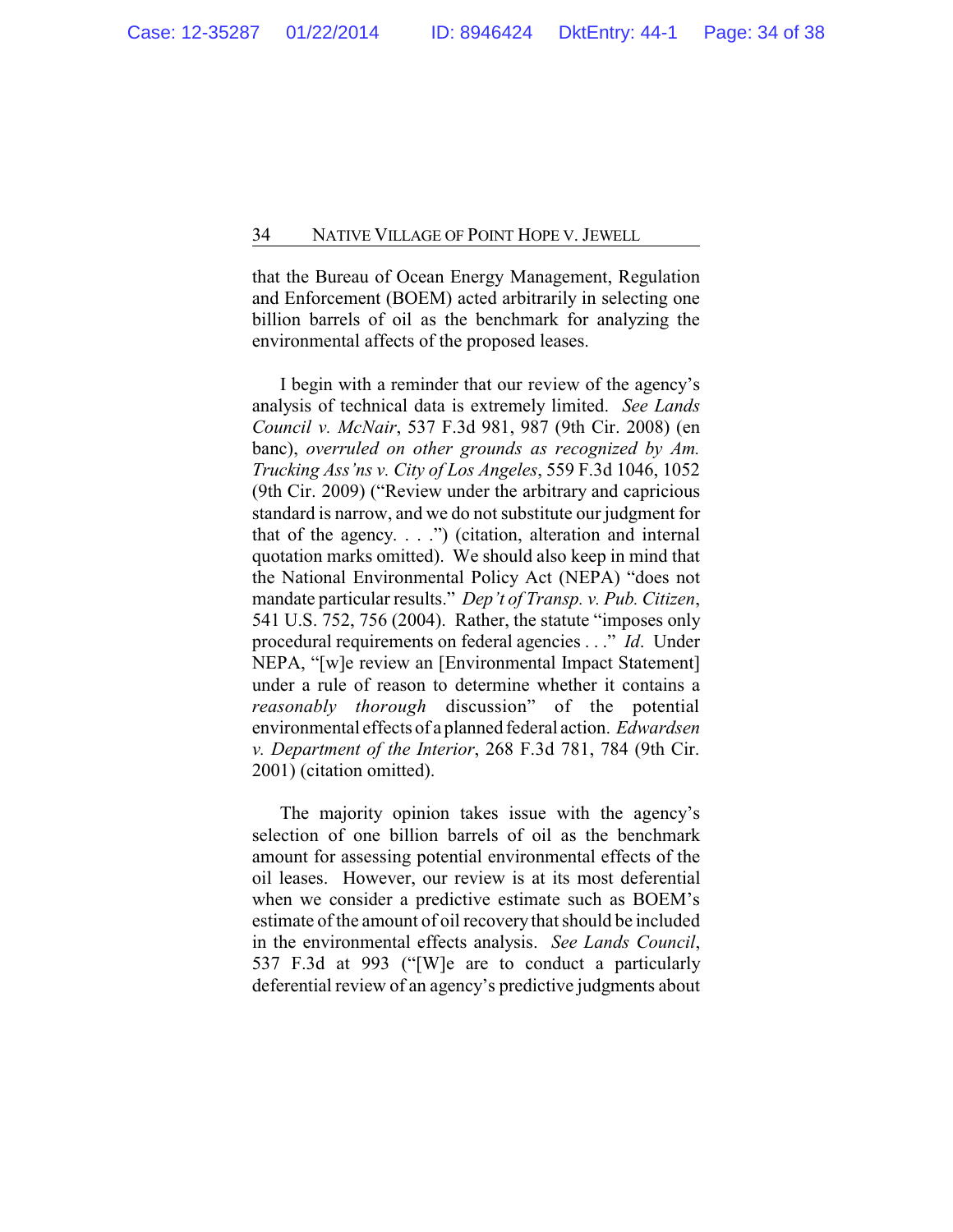that the Bureau of Ocean Energy Management, Regulation and Enforcement (BOEM) acted arbitrarily in selecting one billion barrels of oil as the benchmark for analyzing the environmental affects of the proposed leases.

I begin with a reminder that our review of the agency's analysis of technical data is extremely limited. *See Lands Council v. McNair*, 537 F.3d 981, 987 (9th Cir. 2008) (en banc), *overruled on other grounds as recognized by Am. Trucking Ass'ns v. City of Los Angeles*, 559 F.3d 1046, 1052 (9th Cir. 2009) ("Review under the arbitrary and capricious standard is narrow, and we do not substitute our judgment for that of the agency.  $\ldots$ .") (citation, alteration and internal quotation marks omitted). We should also keep in mind that the National Environmental Policy Act (NEPA) "does not mandate particular results." *Dep't of Transp. v. Pub. Citizen*, 541 U.S. 752, 756 (2004). Rather, the statute "imposes only procedural requirements on federal agencies . . ." *Id*. Under NEPA, "[w]e review an [Environmental Impact Statement] under a rule of reason to determine whether it contains a *reasonably thorough* discussion" of the potential environmental effects of a planned federal action. *Edwardsen v. Department of the Interior*, 268 F.3d 781, 784 (9th Cir. 2001) (citation omitted).

The majority opinion takes issue with the agency's selection of one billion barrels of oil as the benchmark amount for assessing potential environmental effects of the oil leases. However, our review is at its most deferential when we consider a predictive estimate such as BOEM's estimate of the amount of oil recoverythat should be included in the environmental effects analysis. *See Lands Council*, 537 F.3d at 993 ("[W]e are to conduct a particularly deferential review of an agency's predictive judgments about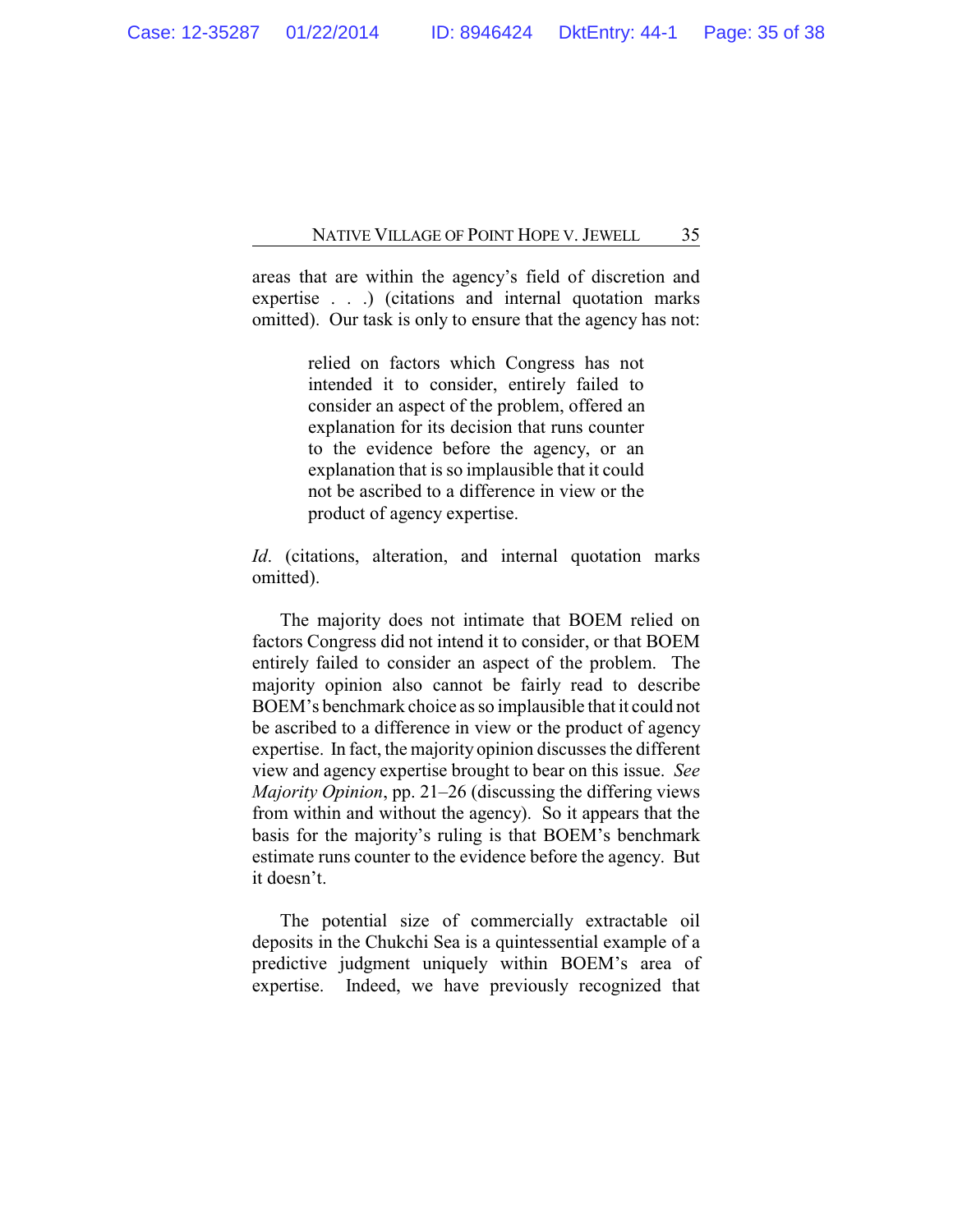areas that are within the agency's field of discretion and expertise . . .) (citations and internal quotation marks omitted). Our task is only to ensure that the agency has not:

> relied on factors which Congress has not intended it to consider, entirely failed to consider an aspect of the problem, offered an explanation for its decision that runs counter to the evidence before the agency, or an explanation that is so implausible that it could not be ascribed to a difference in view or the product of agency expertise.

*Id*. (citations, alteration, and internal quotation marks omitted).

The majority does not intimate that BOEM relied on factors Congress did not intend it to consider, or that BOEM entirely failed to consider an aspect of the problem. The majority opinion also cannot be fairly read to describe BOEM's benchmark choice as so implausible that it could not be ascribed to a difference in view or the product of agency expertise. In fact, the majority opinion discusses the different view and agency expertise brought to bear on this issue. *See Majority Opinion*, pp. 21–26 (discussing the differing views from within and without the agency). So it appears that the basis for the majority's ruling is that BOEM's benchmark estimate runs counter to the evidence before the agency. But it doesn't.

The potential size of commercially extractable oil deposits in the Chukchi Sea is a quintessential example of a predictive judgment uniquely within BOEM's area of expertise. Indeed, we have previously recognized that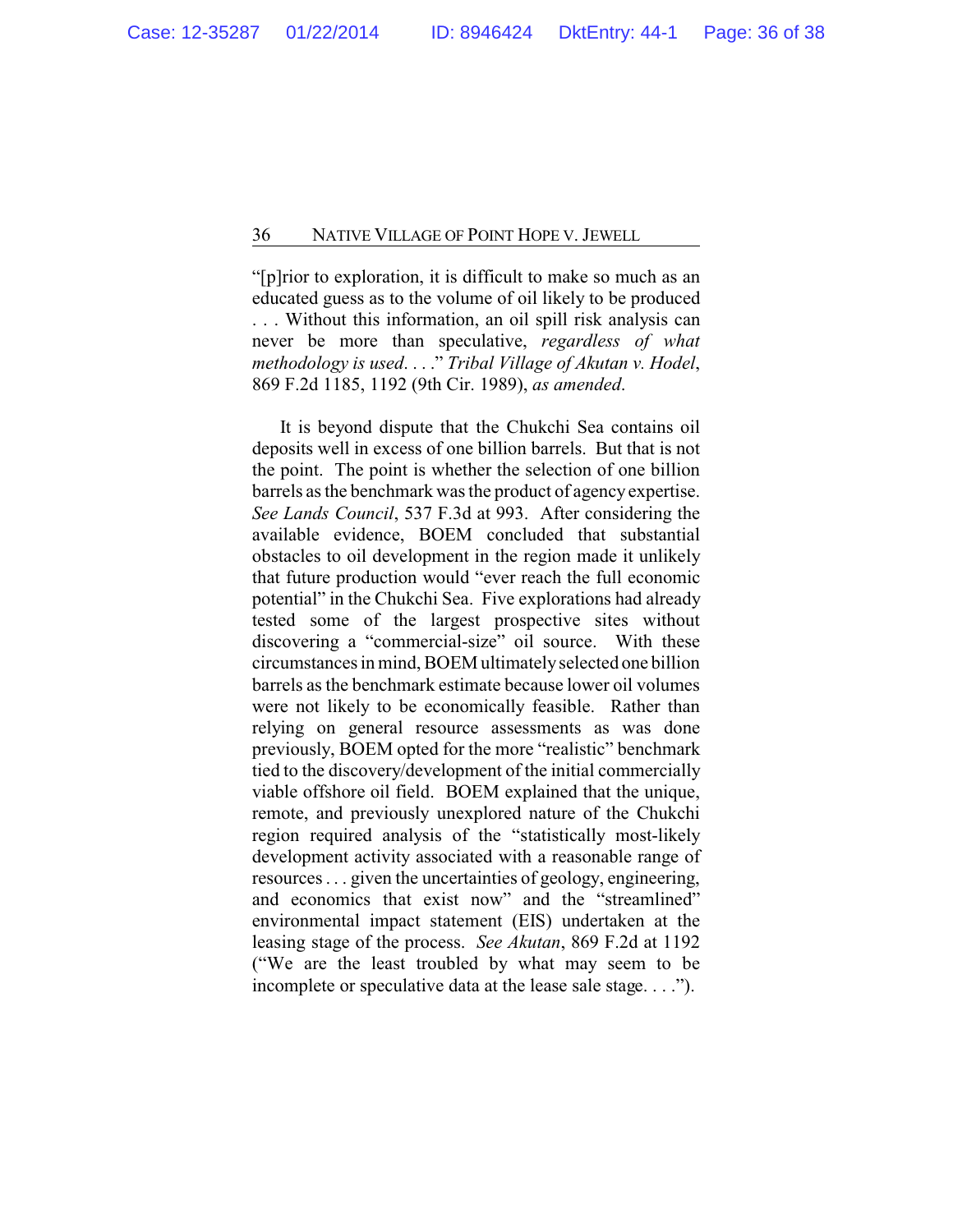"[p]rior to exploration, it is difficult to make so much as an educated guess as to the volume of oil likely to be produced . . . Without this information, an oil spill risk analysis can never be more than speculative, *regardless of what methodology is used*. . . ." *Tribal Village of Akutan v. Hodel*, 869 F.2d 1185, 1192 (9th Cir. 1989), *as amended*.

It is beyond dispute that the Chukchi Sea contains oil deposits well in excess of one billion barrels. But that is not the point. The point is whether the selection of one billion barrels as the benchmark was the product of agency expertise. *See Lands Council*, 537 F.3d at 993. After considering the available evidence, BOEM concluded that substantial obstacles to oil development in the region made it unlikely that future production would "ever reach the full economic potential" in the Chukchi Sea. Five explorations had already tested some of the largest prospective sites without discovering a "commercial-size" oil source. With these circumstances in mind, BOEM ultimatelyselected one billion barrels as the benchmark estimate because lower oil volumes were not likely to be economically feasible. Rather than relying on general resource assessments as was done previously, BOEM opted for the more "realistic" benchmark tied to the discovery/development of the initial commercially viable offshore oil field. BOEM explained that the unique, remote, and previously unexplored nature of the Chukchi region required analysis of the "statistically most-likely development activity associated with a reasonable range of resources . . . given the uncertainties of geology, engineering, and economics that exist now" and the "streamlined" environmental impact statement (EIS) undertaken at the leasing stage of the process. *See Akutan*, 869 F.2d at 1192 ("We are the least troubled by what may seem to be incomplete or speculative data at the lease sale stage. . . .").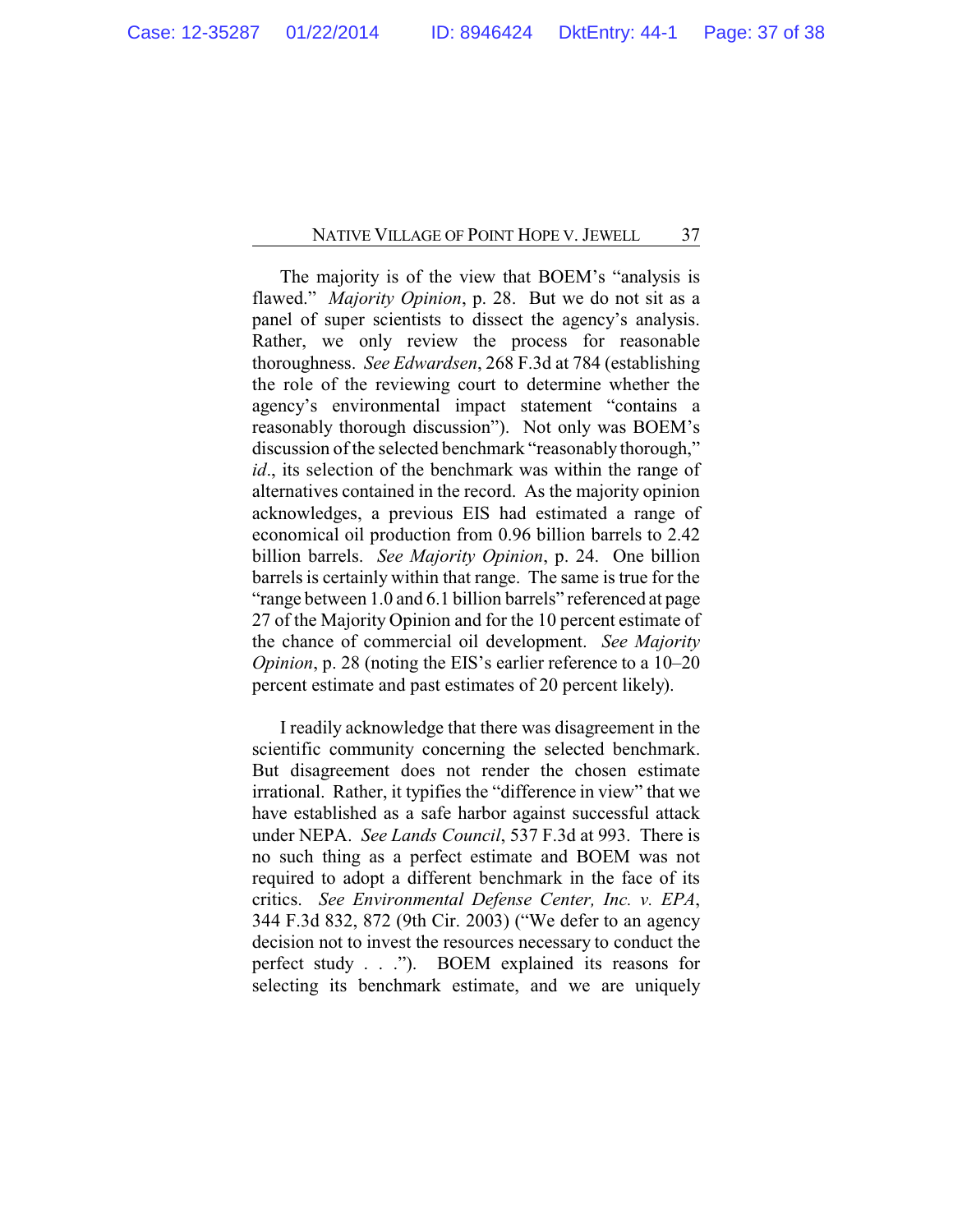The majority is of the view that BOEM's "analysis is flawed." *Majority Opinion*, p. 28. But we do not sit as a panel of super scientists to dissect the agency's analysis. Rather, we only review the process for reasonable thoroughness. *See Edwardsen*, 268 F.3d at 784 (establishing the role of the reviewing court to determine whether the agency's environmental impact statement "contains a reasonably thorough discussion"). Not only was BOEM's discussion of the selected benchmark "reasonably thorough," *id*., its selection of the benchmark was within the range of alternatives contained in the record. As the majority opinion acknowledges, a previous EIS had estimated a range of economical oil production from 0.96 billion barrels to 2.42 billion barrels. *See Majority Opinion*, p. 24. One billion barrels is certainly within that range. The same is true for the "range between 1.0 and 6.1 billion barrels" referenced at page 27 of the Majority Opinion and for the 10 percent estimate of the chance of commercial oil development. *See Majority Opinion*, p. 28 (noting the EIS's earlier reference to a 10–20) percent estimate and past estimates of 20 percent likely).

I readily acknowledge that there was disagreement in the scientific community concerning the selected benchmark. But disagreement does not render the chosen estimate irrational. Rather, it typifies the "difference in view" that we have established as a safe harbor against successful attack under NEPA. *See Lands Council*, 537 F.3d at 993. There is no such thing as a perfect estimate and BOEM was not required to adopt a different benchmark in the face of its critics. *See Environmental Defense Center, Inc. v. EPA*, 344 F.3d 832, 872 (9th Cir. 2003) ("We defer to an agency decision not to invest the resources necessary to conduct the perfect study . . ."). BOEM explained its reasons for selecting its benchmark estimate, and we are uniquely